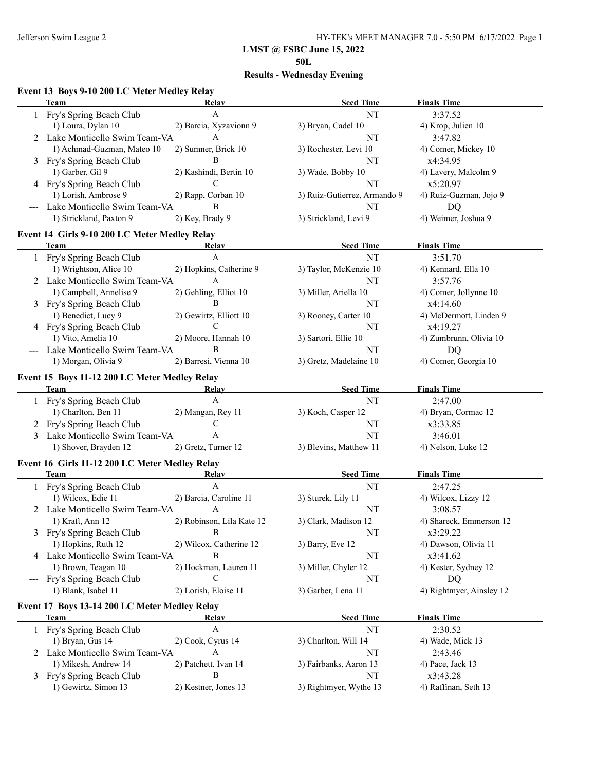**50L**

# **Results - Wednesday Evening**

### **Event 13 Boys 9-10 200 LC Meter Medley Relay**

|       | can be be $\sim$ 10 000 DC mitter mitting noing |                           | <b>Seed Time</b>             | <b>Finals Time</b>       |
|-------|-------------------------------------------------|---------------------------|------------------------------|--------------------------|
|       | Team                                            | Relay<br>A                | NT                           | 3:37.52                  |
|       | 1 Fry's Spring Beach Club                       |                           |                              |                          |
|       | 1) Loura, Dylan 10                              | 2) Barcia, Xyzavionn 9    | 3) Bryan, Cadel 10           | 4) Krop, Julien 10       |
|       | 2 Lake Monticello Swim Team-VA                  | A                         | NT                           | 3:47.82                  |
|       | 1) Achmad-Guzman, Mateo 10                      | 2) Sumner, Brick 10       | 3) Rochester, Levi 10        | 4) Comer, Mickey 10      |
|       | 3 Fry's Spring Beach Club                       | B                         | NT                           | x4:34.95                 |
|       | 1) Garber, Gil 9                                | 2) Kashindi, Bertin 10    | 3) Wade, Bobby 10            | 4) Lavery, Malcolm 9     |
|       | 4 Fry's Spring Beach Club                       | C                         | NT                           | x5:20.97                 |
|       | 1) Lorish, Ambrose 9                            | 2) Rapp, Corban 10        | 3) Ruiz-Gutierrez, Armando 9 | 4) Ruiz-Guzman, Jojo 9   |
|       | Lake Monticello Swim Team-VA                    | B                         | NT                           | <b>DQ</b>                |
|       | 1) Strickland, Paxton 9                         | 2) Key, Brady 9           | 3) Strickland, Levi 9        | 4) Weimer, Joshua 9      |
|       | Event 14 Girls 9-10 200 LC Meter Medley Relay   |                           |                              |                          |
|       | Team                                            | Relay                     | <b>Seed Time</b>             | <b>Finals Time</b>       |
|       | 1 Fry's Spring Beach Club                       | $\mathbf{A}$              | NT                           | 3:51.70                  |
|       | 1) Wrightson, Alice 10                          | 2) Hopkins, Catherine 9   | 3) Taylor, McKenzie 10       | 4) Kennard, Ella 10      |
|       | 2 Lake Monticello Swim Team-VA                  | A                         | NT                           | 3:57.76                  |
|       | 1) Campbell, Annelise 9                         | 2) Gehling, Elliot 10     | 3) Miller, Ariella 10        | 4) Comer, Jollynne 10    |
|       |                                                 | B                         |                              |                          |
|       | 3 Fry's Spring Beach Club                       |                           | NT                           | x4:14.60                 |
|       | 1) Benedict, Lucy 9                             | 2) Gewirtz, Elliott 10    | 3) Rooney, Carter 10         | 4) McDermott, Linden 9   |
|       | 4 Fry's Spring Beach Club                       | $\mathcal{C}$             | NT                           | x4:19.27                 |
|       | 1) Vito, Amelia 10                              | 2) Moore, Hannah 10       | 3) Sartori, Ellie 10         | 4) Zumbrunn, Olivia 10   |
|       | Lake Monticello Swim Team-VA                    | B                         | NT                           | DQ                       |
|       | 1) Morgan, Olivia 9                             | 2) Barresi, Vienna 10     | 3) Gretz, Madelaine 10       | 4) Comer, Georgia 10     |
|       | Event 15 Boys 11-12 200 LC Meter Medley Relay   |                           |                              |                          |
|       | Team                                            | Relay                     | <b>Seed Time</b>             | <b>Finals Time</b>       |
|       | 1 Fry's Spring Beach Club                       | $\mathbf{A}$              | NT                           | 2:47.00                  |
|       | 1) Charlton, Ben 11                             | 2) Mangan, Rey 11         | 3) Koch, Casper 12           | 4) Bryan, Cormac 12      |
| 2     | Fry's Spring Beach Club                         | C                         | NT                           | x3:33.85                 |
| 3     | Lake Monticello Swim Team-VA                    | A                         | NT                           | 3:46.01                  |
|       | 1) Shover, Brayden 12                           | 2) Gretz, Turner 12       | 3) Blevins, Matthew 11       | 4) Nelson, Luke 12       |
|       |                                                 |                           |                              |                          |
|       | Event 16 Girls 11-12 200 LC Meter Medley Relay  |                           |                              |                          |
|       | Team                                            | Relay                     | <b>Seed Time</b>             | <b>Finals Time</b>       |
|       | 1 Fry's Spring Beach Club                       | A                         | NT                           | 2:47.25                  |
|       | 1) Wilcox, Edie 11                              | 2) Barcia, Caroline 11    | 3) Sturek, Lily 11           | 4) Wilcox, Lizzy 12      |
|       | 2 Lake Monticello Swim Team-VA                  | A                         | NT                           | 3:08.57                  |
|       | 1) Kraft, Ann 12                                | 2) Robinson, Lila Kate 12 | 3) Clark, Madison 12         | 4) Shareck, Emmerson 12  |
|       | 3 Fry's Spring Beach Club                       |                           | NT                           | x3:29.22                 |
|       | 1) Hopkins, Ruth 12                             | 2) Wilcox, Catherine 12   | 3) Barry, Eve 12             | 4) Dawson, Olivia 11     |
|       | 4 Lake Monticello Swim Team-VA                  | Β                         | NT                           | x3:41.62                 |
|       | 1) Brown, Teagan 10                             | 2) Hockman, Lauren 11     | 3) Miller, Chyler 12         | 4) Kester, Sydney 12     |
| $---$ | Fry's Spring Beach Club                         | $\mathcal{C}$             | NT                           | <b>DQ</b>                |
|       | 1) Blank, Isabel 11                             | 2) Lorish, Eloise 11      | 3) Garber, Lena 11           | 4) Rightmyer, Ainsley 12 |
|       |                                                 |                           |                              |                          |
|       | Event 17 Boys 13-14 200 LC Meter Medley Relay   |                           |                              |                          |
|       | <b>Team</b>                                     | Relay                     | <b>Seed Time</b>             | <b>Finals Time</b>       |
|       | 1 Fry's Spring Beach Club                       | $\mathbf A$               | NT                           | 2:30.52                  |
|       | 1) Bryan, Gus 14                                | 2) Cook, Cyrus 14         | 3) Charlton, Will 14         | 4) Wade, Mick 13         |
| 2     | Lake Monticello Swim Team-VA                    | A                         | NT                           | 2:43.46                  |
|       | 1) Mikesh, Andrew 14                            | 2) Patchett, Ivan 14      | 3) Fairbanks, Aaron 13       | 4) Pace, Jack 13         |
| 3     | Fry's Spring Beach Club                         | B                         | NT                           | x3:43.28                 |
|       | 1) Gewirtz, Simon 13                            | 2) Kestner, Jones 13      | 3) Rightmyer, Wythe 13       | 4) Raffinan, Seth 13     |
|       |                                                 |                           |                              |                          |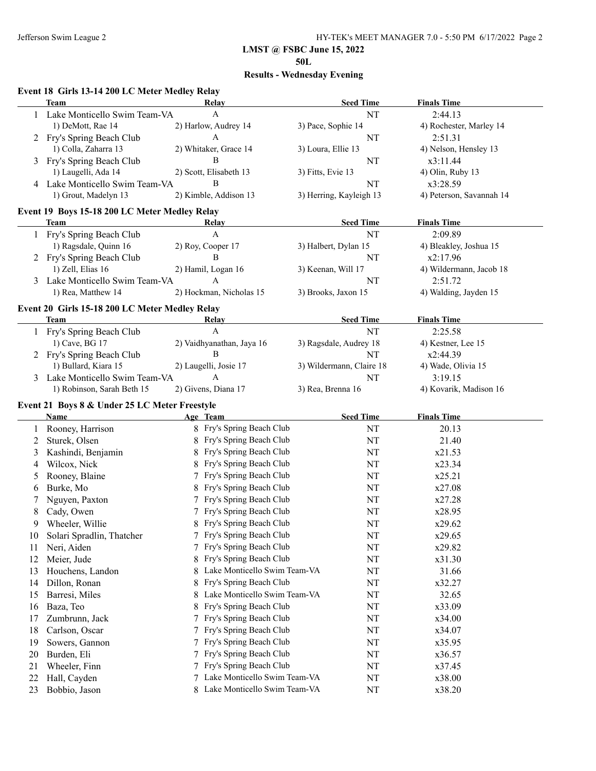**50L**

# **Results - Wednesday Evening**

### **Event 18 Girls 13-14 200 LC Meter Medley Relay**

|    | <b>Team</b>                                    | Relay                             | <b>Seed Time</b>         | <b>Finals Time</b>       |
|----|------------------------------------------------|-----------------------------------|--------------------------|--------------------------|
|    | Lake Monticello Swim Team-VA                   | A                                 | NT                       | 2:44.13                  |
|    | 1) DeMott, Rae 14                              | 2) Harlow, Audrey 14              | 3) Pace, Sophie 14       | 4) Rochester, Marley 14  |
| 2  | Fry's Spring Beach Club                        | A                                 | NT                       | 2:51.31                  |
|    | 1) Colla, Zaharra 13                           | 2) Whitaker, Grace 14             | 3) Loura, Ellie 13       | 4) Nelson, Hensley 13    |
| 3  | Fry's Spring Beach Club                        | B                                 | NT                       | x3:11.44                 |
|    | 1) Laugelli, Ada 14                            | 2) Scott, Elisabeth 13            | 3) Fitts, Evie 13        | 4) Olin, Ruby 13         |
| 4  | Lake Monticello Swim Team-VA                   | B                                 | NT                       | x3:28.59                 |
|    | 1) Grout, Madelyn 13                           | 2) Kimble, Addison 13             | 3) Herring, Kayleigh 13  | 4) Peterson, Savannah 14 |
|    | Event 19 Boys 15-18 200 LC Meter Medley Relay  |                                   |                          |                          |
|    | <b>Team</b>                                    | <b>Relay</b>                      | <b>Seed Time</b>         | <b>Finals Time</b>       |
|    | 1 Fry's Spring Beach Club                      | $\mathbf{A}$                      | NT                       | 2:09.89                  |
|    | 1) Ragsdale, Quinn 16                          | 2) Roy, Cooper 17                 | 3) Halbert, Dylan 15     | 4) Bleakley, Joshua 15   |
|    | 2 Fry's Spring Beach Club                      | B                                 | NT                       | x2:17.96                 |
|    | 1) Zell, Elias 16                              | 2) Hamil, Logan 16                | 3) Keenan, Will 17       | 4) Wildermann, Jacob 18  |
| 3  | Lake Monticello Swim Team-VA                   | A                                 | NT                       | 2:51.72                  |
|    | 1) Rea, Matthew 14                             | 2) Hockman, Nicholas 15           | 3) Brooks, Jaxon 15      | 4) Walding, Jayden 15    |
|    | Event 20 Girls 15-18 200 LC Meter Medley Relay |                                   |                          |                          |
|    | Team                                           | Relay                             | <b>Seed Time</b>         | <b>Finals Time</b>       |
|    | 1 Fry's Spring Beach Club                      | A                                 | NT                       | 2:25.58                  |
|    | 1) Cave, BG 17                                 | 2) Vaidhyanathan, Jaya 16         | 3) Ragsdale, Audrey 18   | 4) Kestner, Lee 15       |
|    | 2 Fry's Spring Beach Club                      | B                                 | NT                       | x2:44.39                 |
|    | 1) Bullard, Kiara 15                           | 2) Laugelli, Josie 17             | 3) Wildermann, Claire 18 | 4) Wade, Olivia 15       |
|    | 3 Lake Monticello Swim Team-VA                 | A                                 | NT                       | 3:19.15                  |
|    | 1) Robinson, Sarah Beth 15                     | 2) Givens, Diana 17               | 3) Rea, Brenna 16        | 4) Kovarik, Madison 16   |
|    | Event 21 Boys 8 & Under 25 LC Meter Freestyle  |                                   |                          |                          |
|    | Name                                           | Age Team                          | <b>Seed Time</b>         | <b>Finals Time</b>       |
| 1  | Rooney, Harrison                               | 8 Fry's Spring Beach Club         | NT                       | 20.13                    |
| 2  | Sturek, Olsen                                  | 8 Fry's Spring Beach Club         | NT                       | 21.40                    |
| 3  | Kashindi, Benjamin                             | 8 Fry's Spring Beach Club         | NT                       | x21.53                   |
| 4  | Wilcox, Nick                                   | Fry's Spring Beach Club           | NT                       | x23.34                   |
| 5  | Rooney, Blaine                                 | Fry's Spring Beach Club           | NT                       | x25.21                   |
| 6  | Burke, Mo                                      | Fry's Spring Beach Club           | NT                       | x27.08                   |
| 7  | Nguyen, Paxton                                 | Fry's Spring Beach Club           | NT                       | x27.28                   |
| 8  | Cady, Owen                                     | 7 Fry's Spring Beach Club         | NT                       | x28.95                   |
| 9  | Wheeler, Willie                                | 8 Fry's Spring Beach Club         | NT                       | x29.62                   |
|    | Solari Spradlin, Thatcher                      | Fry's Spring Beach Club           | NT                       | x29.65                   |
| 10 | Neri, Aiden                                    | 7 Fry's Spring Beach Club         | NT                       | x29.82                   |
| 11 |                                                | Fry's Spring Beach Club           |                          |                          |
| 12 | Meier, Jude                                    | 8<br>Lake Monticello Swim Team-VA | $\rm{NT}$                | x31.30                   |
| 13 | Houchens, Landon                               | 8<br>Fry's Spring Beach Club      | NT                       | 31.66                    |
| 14 | Dillon, Ronan                                  | 8                                 | NT                       | x32.27                   |
| 15 | Barresi, Miles                                 | Lake Monticello Swim Team-VA<br>8 | NT                       | 32.65                    |
| 16 | Baza, Teo                                      | Fry's Spring Beach Club<br>8      | NT                       | x33.09                   |
| 17 | Zumbrunn, Jack                                 | Fry's Spring Beach Club<br>7      | NT                       | x34.00                   |
| 18 | Carlson, Oscar                                 | Fry's Spring Beach Club<br>7      | NT                       | x34.07                   |
| 19 | Sowers, Gannon                                 | Fry's Spring Beach Club<br>7      | NT                       | x35.95                   |
| 20 | Burden, Eli                                    | Fry's Spring Beach Club<br>7      | NT                       | x36.57                   |
| 21 | Wheeler, Finn                                  | Fry's Spring Beach Club<br>7      | NT                       | x37.45                   |
| 22 | Hall, Cayden                                   | Lake Monticello Swim Team-VA<br>7 | NT                       | x38.00                   |
| 23 | Bobbio, Jason                                  | 8 Lake Monticello Swim Team-VA    | NT                       | x38.20                   |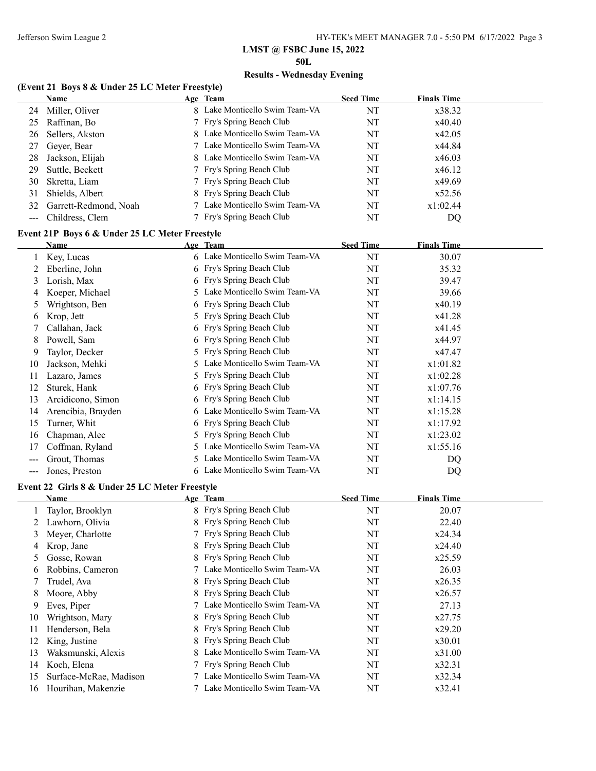### **LMST @ FSBC June 15, 2022 50L**

# **Results - Wednesday Evening**

### **(Event 21 Boys 8 & Under 25 LC Meter Freestyle)**

|                   | Name                  | Age Team                       | <b>Seed Time</b> | <b>Finals Time</b> |
|-------------------|-----------------------|--------------------------------|------------------|--------------------|
| 24                | Miller, Oliver        | 8 Lake Monticello Swim Team-VA | NT               | x38.32             |
| 25                | Raffinan, Bo          | 7 Fry's Spring Beach Club      | NT               | x40.40             |
| 26                | Sellers, Akston       | 8 Lake Monticello Swim Team-VA | NT               | x42.05             |
| 27                | Geyer, Bear           | 7 Lake Monticello Swim Team-VA | NT               | x44.84             |
| 28                | Jackson, Elijah       | 8 Lake Monticello Swim Team-VA | NT               | x46.03             |
| 29                | Suttle, Beckett       | 7 Fry's Spring Beach Club      | NT               | x46.12             |
| 30                | Skretta, Liam         | 7 Fry's Spring Beach Club      | NT               | x49.69             |
| 31                | Shields, Albert       | 8 Fry's Spring Beach Club      | NT               | x52.56             |
| 32                | Garrett-Redmond, Noah | 7 Lake Monticello Swim Team-VA | NT               | x1:02.44           |
| $\qquad \qquad -$ | Childress, Clem       | 7 Fry's Spring Beach Club      | NT               | DQ                 |
|                   |                       |                                |                  |                    |

# **Event 21P Boys 6 & Under 25 LC Meter Freestyle**

|     | <b>Name</b>        |    | Age Team                       | <b>Seed Time</b> | <b>Finals Time</b> |
|-----|--------------------|----|--------------------------------|------------------|--------------------|
|     | Key, Lucas         |    | 6 Lake Monticello Swim Team-VA | NT               | 30.07              |
|     | Eberline, John     |    | 6 Fry's Spring Beach Club      | NT               | 35.32              |
| 3   | Lorish, Max        |    | 6 Fry's Spring Beach Club      | NT               | 39.47              |
| 4   | Koeper, Michael    | 5. | Lake Monticello Swim Team-VA   | NT               | 39.66              |
| 5   | Wrightson, Ben     |    | 6 Fry's Spring Beach Club      | NT               | x40.19             |
| 6   | Krop, Jett         |    | 5 Fry's Spring Beach Club      | NT               | x41.28             |
|     | Callahan, Jack     |    | 6 Fry's Spring Beach Club      | NT               | x41.45             |
| 8   | Powell, Sam        |    | 6 Fry's Spring Beach Club      | NT               | x44.97             |
| 9   | Taylor, Decker     |    | 5 Fry's Spring Beach Club      | NT               | x47.47             |
| 10  | Jackson, Mehki     |    | 5 Lake Monticello Swim Team-VA | NT               | x1:01.82           |
| 11  | Lazaro, James      |    | 5 Fry's Spring Beach Club      | NT               | x1:02.28           |
| 12  | Sturek, Hank       |    | 6 Fry's Spring Beach Club      | NT               | x1:07.76           |
| 13  | Arcidicono, Simon  |    | 6 Fry's Spring Beach Club      | NT               | x1:14.15           |
| 14  | Arencibia, Brayden |    | 6 Lake Monticello Swim Team-VA | NT               | x1:15.28           |
| 15  | Turner, Whit       |    | 6 Fry's Spring Beach Club      | NT               | x1:17.92           |
| 16  | Chapman, Alec      |    | 5 Fry's Spring Beach Club      | NT               | x1:23.02           |
| 17  | Coffman, Ryland    |    | 5 Lake Monticello Swim Team-VA | NT               | x1:55.16           |
| --- | Grout, Thomas      |    | 5 Lake Monticello Swim Team-VA | NT               | DQ                 |
| --- | Jones, Preston     |    | 6 Lake Monticello Swim Team-VA | NT               | DQ                 |

### **Event 22 Girls 8 & Under 25 LC Meter Freestyle**

|    | Name                   | Age Team                       | <b>Seed Time</b> | <b>Finals Time</b> |
|----|------------------------|--------------------------------|------------------|--------------------|
|    | Taylor, Brooklyn       | 8 Fry's Spring Beach Club      | NT               | 20.07              |
|    | Lawhorn, Olivia        | 8 Fry's Spring Beach Club      | NT               | 22.40              |
| 3  | Meyer, Charlotte       | 7 Fry's Spring Beach Club      | NT               | x24.34             |
| 4  | Krop, Jane             | 8 Fry's Spring Beach Club      | NT               | x24.40             |
| 5  | Gosse, Rowan           | 8 Fry's Spring Beach Club      | NT               | x25.59             |
| 6  | Robbins, Cameron       | 7 Lake Monticello Swim Team-VA | NT               | 26.03              |
|    | Trudel, Ava            | 8 Fry's Spring Beach Club      | NT               | x26.35             |
| 8  | Moore, Abby            | 8 Fry's Spring Beach Club      | NT               | x26.57             |
| 9  | Eves, Piper            | 7 Lake Monticello Swim Team-VA | NT               | 27.13              |
| 10 | Wrightson, Mary        | 8 Fry's Spring Beach Club      | NT               | x27.75             |
| 11 | Henderson, Bela        | 8 Fry's Spring Beach Club      | NT               | x29.20             |
| 12 | King, Justine          | 8 Fry's Spring Beach Club      | NT               | x30.01             |
| 13 | Waksmunski, Alexis     | 8 Lake Monticello Swim Team-VA | NT               | x31.00             |
| 14 | Koch, Elena            | 7 Fry's Spring Beach Club      | NT               | x32.31             |
| 15 | Surface-McRae, Madison | 7 Lake Monticello Swim Team-VA | NT               | x32.34             |
| 16 | Hourihan, Makenzie     | Lake Monticello Swim Team-VA   | NT               | x32.41             |
|    |                        |                                |                  |                    |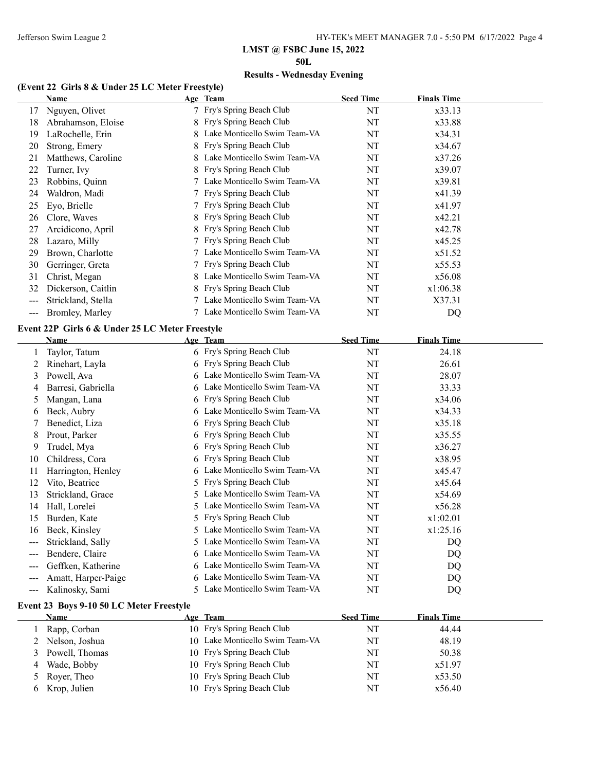**50L**

# **Results - Wednesday Evening**

### **(Event 22 Girls 8 & Under 25 LC Meter Freestyle)**

|    | Name               | Age Team                       | <b>Seed Time</b> | <b>Finals Time</b> |
|----|--------------------|--------------------------------|------------------|--------------------|
| 17 | Nguyen, Olivet     | 7 Fry's Spring Beach Club      | NT               | x33.13             |
| 18 | Abrahamson, Eloise | 8 Fry's Spring Beach Club      | NT               | x33.88             |
| 19 | LaRochelle, Erin   | 8 Lake Monticello Swim Team-VA | NT               | x34.31             |
| 20 | Strong, Emery      | 8 Fry's Spring Beach Club      | NT               | x34.67             |
| 21 | Matthews, Caroline | 8 Lake Monticello Swim Team-VA | NT               | x37.26             |
| 22 | Turner, Ivy        | 8 Fry's Spring Beach Club      | NT               | x39.07             |
| 23 | Robbins, Quinn     | Lake Monticello Swim Team-VA   | NT               | x39.81             |
| 24 | Waldron, Madi      | 7 Fry's Spring Beach Club      | NT               | x41.39             |
| 25 | Eyo, Brielle       | 7 Fry's Spring Beach Club      | NT               | x41.97             |
| 26 | Clore, Waves       | 8 Fry's Spring Beach Club      | NT               | x42.21             |
| 27 | Arcidicono, April  | 8 Fry's Spring Beach Club      | NT               | x42.78             |
| 28 | Lazaro, Milly      | 7 Fry's Spring Beach Club      | NT               | x45.25             |
| 29 | Brown, Charlotte   | 7 Lake Monticello Swim Team-VA | NT               | x51.52             |
| 30 | Gerringer, Greta   | 7 Fry's Spring Beach Club      | NT               | x55.53             |
| 31 | Christ, Megan      | 8 Lake Monticello Swim Team-VA | NT               | x56.08             |
| 32 | Dickerson, Caitlin | 8 Fry's Spring Beach Club      | NT               | x1:06.38           |
|    | Strickland, Stella | 7 Lake Monticello Swim Team-VA | NT               | X37.31             |
|    | Bromley, Marley    | 7 Lake Monticello Swim Team-VA | NT               | DQ                 |
|    |                    |                                |                  |                    |

### **Event 22P Girls 6 & Under 25 LC Meter Freestyle**

|                        | Name                |    | Age Team                       | <b>Seed Time</b> | <b>Finals Time</b> |  |
|------------------------|---------------------|----|--------------------------------|------------------|--------------------|--|
|                        | Taylor, Tatum       |    | 6 Fry's Spring Beach Club      | NT               | 24.18              |  |
|                        | Rinehart, Layla     |    | 6 Fry's Spring Beach Club      | NT               | 26.61              |  |
| 3                      | Powell, Ava         | 6  | Lake Monticello Swim Team-VA   | NT               | 28.07              |  |
| 4                      | Barresi, Gabriella  | 6. | Lake Monticello Swim Team-VA   | NT               | 33.33              |  |
| 5                      | Mangan, Lana        | 6  | Fry's Spring Beach Club        | NT               | x34.06             |  |
| 6                      | Beck, Aubry         |    | 6 Lake Monticello Swim Team-VA | NT               | x34.33             |  |
|                        | Benedict, Liza      |    | 6 Fry's Spring Beach Club      | NT               | x35.18             |  |
| 8                      | Prout, Parker       |    | 6 Fry's Spring Beach Club      | NT               | x35.55             |  |
| 9                      | Trudel, Mya         | 6  | Fry's Spring Beach Club        | NT               | x36.27             |  |
| 10                     | Childress, Cora     |    | 6 Fry's Spring Beach Club      | NT               | x38.95             |  |
| 11                     | Harrington, Henley  | 6. | Lake Monticello Swim Team-VA   | NT               | x45.47             |  |
| 12                     | Vito, Beatrice      | 5. | Fry's Spring Beach Club        | NT               | x45.64             |  |
| 13                     | Strickland, Grace   | 5. | Lake Monticello Swim Team-VA   | NT               | x54.69             |  |
| 14                     | Hall, Lorelei       | 5. | Lake Monticello Swim Team-VA   | NT               | x56.28             |  |
| 15                     | Burden, Kate        |    | 5 Fry's Spring Beach Club      | NT               | x1:02.01           |  |
| 16                     | Beck, Kinsley       | 5. | Lake Monticello Swim Team-VA   | NT               | x1:25.16           |  |
| $---$                  | Strickland, Sally   |    | 5 Lake Monticello Swim Team-VA | NT               | DQ                 |  |
| $---$                  | Bendere, Claire     | 6  | Lake Monticello Swim Team-VA   | NT               | DQ                 |  |
| $\qquad \qquad \cdots$ | Geffken, Katherine  | 6. | Lake Monticello Swim Team-VA   | NT               | DQ                 |  |
| ---                    | Amatt, Harper-Paige | 6. | Lake Monticello Swim Team-VA   | NT               | DQ                 |  |
| ---                    | Kalinosky, Sami     | 5. | Lake Monticello Swim Team-VA   | NT               | DQ                 |  |

### **Event 23 Boys 9-10 50 LC Meter Freestyle**

|   | Name             | Age Team                        | <b>Seed Time</b> | <b>Finals Time</b> |
|---|------------------|---------------------------------|------------------|--------------------|
|   | Rapp, Corban     | 10 Fry's Spring Beach Club      | NT               | 44.44              |
|   | 2 Nelson, Joshua | 10 Lake Monticello Swim Team-VA | NT               | 48.19              |
|   | 3 Powell, Thomas | 10 Fry's Spring Beach Club      | NT               | 50.38              |
| 4 | Wade, Bobby      | 10 Fry's Spring Beach Club      | NT               | x51.97             |
|   | 5 Royer, Theo    | 10 Fry's Spring Beach Club      | NT               | x53.50             |
|   | 6 Krop, Julien   | 10 Fry's Spring Beach Club      | NT               | x56.40             |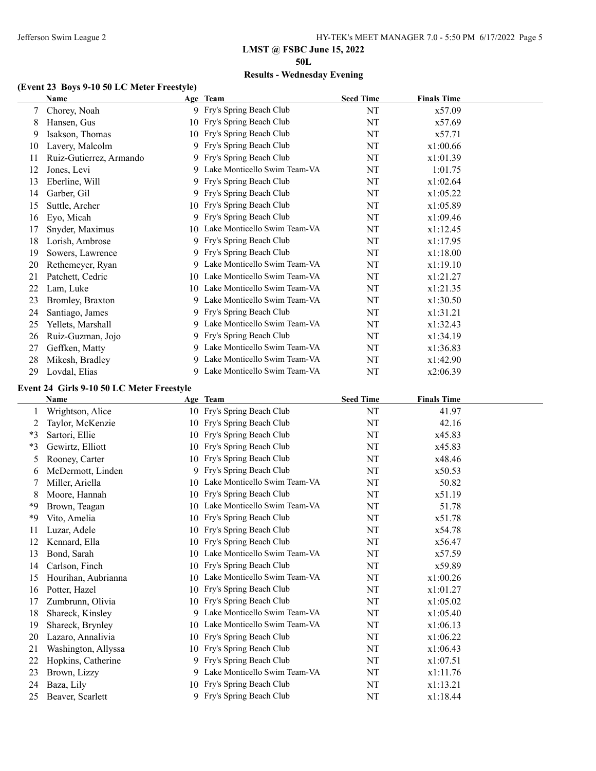**50L**

# **Results - Wednesday Evening**

### **(Event 23 Boys 9-10 50 LC Meter Freestyle)**

|    | Name                    | Age Team                        | <b>Seed Time</b> | <b>Finals Time</b> |  |
|----|-------------------------|---------------------------------|------------------|--------------------|--|
| 7  | Chorey, Noah            | 9 Fry's Spring Beach Club       | NT               | x57.09             |  |
| 8  | Hansen, Gus             | 10 Fry's Spring Beach Club      | NT               | x57.69             |  |
| 9  | Isakson, Thomas         | 10 Fry's Spring Beach Club      | NT               | x57.71             |  |
| 10 | Lavery, Malcolm         | 9 Fry's Spring Beach Club       | NT               | x1:00.66           |  |
| 11 | Ruiz-Gutierrez, Armando | 9 Fry's Spring Beach Club       | NT               | x1:01.39           |  |
| 12 | Jones, Levi             | 9 Lake Monticello Swim Team-VA  | NT               | 1:01.75            |  |
| 13 | Eberline, Will          | 9 Fry's Spring Beach Club       | NT               | x1:02.64           |  |
| 14 | Garber, Gil             | 9 Fry's Spring Beach Club       | NT               | x1:05.22           |  |
| 15 | Suttle, Archer          | 10 Fry's Spring Beach Club      | NT               | x1:05.89           |  |
| 16 | Eyo, Micah              | 9 Fry's Spring Beach Club       | NT               | x1:09.46           |  |
| 17 | Snyder, Maximus         | 10 Lake Monticello Swim Team-VA | NT               | x1:12.45           |  |
| 18 | Lorish, Ambrose         | 9 Fry's Spring Beach Club       | NT               | x1:17.95           |  |
| 19 | Sowers, Lawrence        | 9 Fry's Spring Beach Club       | NT               | x1:18.00           |  |
| 20 | Rethemeyer, Ryan        | 9 Lake Monticello Swim Team-VA  | NT               | x1:19.10           |  |
| 21 | Patchett, Cedric        | 10 Lake Monticello Swim Team-VA | NT               | x1:21.27           |  |
| 22 | Lam, Luke               | 10 Lake Monticello Swim Team-VA | NT               | x1:21.35           |  |
| 23 | Bromley, Braxton        | 9 Lake Monticello Swim Team-VA  | NT               | x1:30.50           |  |
| 24 | Santiago, James         | 9 Fry's Spring Beach Club       | NT               | x1:31.21           |  |
| 25 | Yellets, Marshall       | 9 Lake Monticello Swim Team-VA  | NT               | x1:32.43           |  |
| 26 | Ruiz-Guzman, Jojo       | 9 Fry's Spring Beach Club       | NT               | x1:34.19           |  |
| 27 | Geffken, Matty          | 9 Lake Monticello Swim Team-VA  | NT               | x1:36.83           |  |
| 28 | Mikesh, Bradley         | 9 Lake Monticello Swim Team-VA  | NT               | x1:42.90           |  |
| 29 | Lovdal, Elias           | 9 Lake Monticello Swim Team-VA  | NT               | x2:06.39           |  |

### **Event 24 Girls 9-10 50 LC Meter Freestyle**

|      | Name                |    | Age Team                        | <b>Seed Time</b> | <b>Finals Time</b> |
|------|---------------------|----|---------------------------------|------------------|--------------------|
|      | Wrightson, Alice    |    | 10 Fry's Spring Beach Club      | NT               | 41.97              |
| 2    | Taylor, McKenzie    | 10 | Fry's Spring Beach Club         | NT               | 42.16              |
| $*3$ | Sartori, Ellie      | 10 | Fry's Spring Beach Club         | NT               | x45.83             |
| $*3$ | Gewirtz, Elliott    | 10 | Fry's Spring Beach Club         | NT               | x45.83             |
| 5    | Rooney, Carter      |    | 10 Fry's Spring Beach Club      | NT               | x48.46             |
| 6    | McDermott, Linden   |    | 9 Fry's Spring Beach Club       | NT               | x50.53             |
| 7    | Miller, Ariella     |    | 10 Lake Monticello Swim Team-VA | NT               | 50.82              |
| 8    | Moore, Hannah       | 10 | Fry's Spring Beach Club         | NT               | x51.19             |
| *9   | Brown, Teagan       | 10 | Lake Monticello Swim Team-VA    | NT               | 51.78              |
| *9   | Vito, Amelia        | 10 | Fry's Spring Beach Club         | NT               | x51.78             |
| 11   | Luzar, Adele        | 10 | Fry's Spring Beach Club         | NT               | x54.78             |
| 12   | Kennard, Ella       | 10 | Fry's Spring Beach Club         | NT               | x56.47             |
| 13   | Bond, Sarah         | 10 | Lake Monticello Swim Team-VA    | NT               | x57.59             |
| 14   | Carlson, Finch      | 10 | Fry's Spring Beach Club         | NT               | x59.89             |
| 15   | Hourihan, Aubrianna | 10 | Lake Monticello Swim Team-VA    | NT               | x1:00.26           |
| 16   | Potter, Hazel       | 10 | Fry's Spring Beach Club         | NT               | x1:01.27           |
| 17   | Zumbrunn, Olivia    | 10 | Fry's Spring Beach Club         | NT               | x1:05.02           |
| 18   | Shareck, Kinsley    | 9  | Lake Monticello Swim Team-VA    | NT               | x1:05.40           |
| 19   | Shareck, Brynley    | 10 | Lake Monticello Swim Team-VA    | NT               | x1:06.13           |
| 20   | Lazaro, Annalivia   | 10 | Fry's Spring Beach Club         | NT               | x1:06.22           |
| 21   | Washington, Allyssa | 10 | Fry's Spring Beach Club         | NT               | x1:06.43           |
| 22   | Hopkins, Catherine  |    | 9 Fry's Spring Beach Club       | NT               | x1:07.51           |
| 23   | Brown, Lizzy        |    | 9 Lake Monticello Swim Team-VA  | NT               | x1:11.76           |
| 24   | Baza, Lily          | 10 | Fry's Spring Beach Club         | NT               | x1:13.21           |
| 25   | Beaver, Scarlett    |    | 9 Fry's Spring Beach Club       | NT               | x1:18.44           |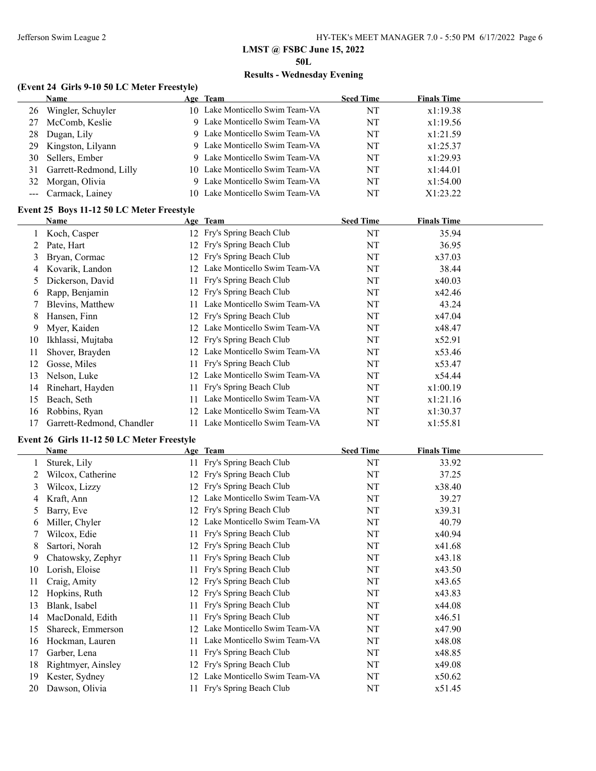**50L**

# **Results - Wednesday Evening**

### **(Event 24 Girls 9-10 50 LC Meter Freestyle)**

|    | Name                      | Age Team                        | <b>Seed Time</b> | <b>Finals Time</b> |  |
|----|---------------------------|---------------------------------|------------------|--------------------|--|
| 26 | Wingler, Schuyler         | 10 Lake Monticello Swim Team-VA | NT               | x1:19.38           |  |
| 27 | McComb, Keslie            | 9 Lake Monticello Swim Team-VA  | NT               | x1:19.56           |  |
| 28 | Dugan, Lily               | 9 Lake Monticello Swim Team-VA  | NT               | x1:21.59           |  |
|    | 29 Kingston, Lilyann      | 9 Lake Monticello Swim Team-VA  | NT               | x1:25.37           |  |
| 30 | Sellers, Ember            | 9 Lake Monticello Swim Team-VA  | NT               | x1:29.93           |  |
|    | 31 Garrett-Redmond, Lilly | 10 Lake Monticello Swim Team-VA | NT               | x1:44.01           |  |
|    | 32 Morgan, Olivia         | 9 Lake Monticello Swim Team-VA  | NT               | x1:54.00           |  |
|    | --- Carmack, Lainey       | 10 Lake Monticello Swim Team-VA | NT               | X1:23.22           |  |

### **Event 25 Boys 11-12 50 LC Meter Freestyle**

|    | Name                      |     | Age Team                     | <b>Seed Time</b> | <b>Finals Time</b> |  |
|----|---------------------------|-----|------------------------------|------------------|--------------------|--|
|    | Koch, Casper              |     | 12 Fry's Spring Beach Club   | NT               | 35.94              |  |
|    | Pate, Hart                |     | 12 Fry's Spring Beach Club   | NT               | 36.95              |  |
| 3  | Bryan, Cormac             |     | 12 Fry's Spring Beach Club   | NT               | x37.03             |  |
| 4  | Kovarik, Landon           | 12  | Lake Monticello Swim Team-VA | NT               | 38.44              |  |
| 5. | Dickerson, David          | 11. | Fry's Spring Beach Club      | NT               | x40.03             |  |
| 6  | Rapp, Benjamin            |     | 12 Fry's Spring Beach Club   | NT               | x42.46             |  |
|    | Blevins, Matthew          |     | Lake Monticello Swim Team-VA | NT               | 43.24              |  |
| 8  | Hansen, Finn              |     | 12 Fry's Spring Beach Club   | NT               | x47.04             |  |
| 9  | Myer, Kaiden              | 12. | Lake Monticello Swim Team-VA | NT               | x48.47             |  |
| 10 | Ikhlassi, Mujtaba         |     | 12 Fry's Spring Beach Club   | NT               | x52.91             |  |
| 11 | Shover, Brayden           | 12. | Lake Monticello Swim Team-VA | NT               | x53.46             |  |
| 12 | Gosse, Miles              |     | Fry's Spring Beach Club      | NT               | x53.47             |  |
| 13 | Nelson, Luke              | 12  | Lake Monticello Swim Team-VA | NT               | x54.44             |  |
| 14 | Rinehart, Hayden          | 11  | Fry's Spring Beach Club      | NT               | x1:00.19           |  |
| 15 | Beach, Seth               |     | Lake Monticello Swim Team-VA | NT               | x1:21.16           |  |
| 16 | Robbins, Ryan             | 12  | Lake Monticello Swim Team-VA | NT               | x1:30.37           |  |
| 17 | Garrett-Redmond, Chandler |     | Lake Monticello Swim Team-VA | NT               | x1:55.81           |  |

### **Event 26 Girls 11-12 50 LC Meter Freestyle**

|    | Name               |    | Age Team                     | <b>Seed Time</b> | <b>Finals Time</b> |
|----|--------------------|----|------------------------------|------------------|--------------------|
|    | Sturek, Lily       | 11 | Fry's Spring Beach Club      | NT               | 33.92              |
|    | Wilcox, Catherine  | 12 | Fry's Spring Beach Club      | NT               | 37.25              |
| 3  | Wilcox, Lizzy      | 12 | Fry's Spring Beach Club      | NT               | x38.40             |
| 4  | Kraft, Ann         | 12 | Lake Monticello Swim Team-VA | NT               | 39.27              |
| 5  | Barry, Eve         | 12 | Fry's Spring Beach Club      | NT               | x39.31             |
| 6  | Miller, Chyler     |    | Lake Monticello Swim Team-VA | NT               | 40.79              |
|    | Wilcox, Edie       | 11 | Fry's Spring Beach Club      | NT               | x40.94             |
| 8  | Sartori, Norah     | 12 | Fry's Spring Beach Club      | NT               | x41.68             |
| 9  | Chatowsky, Zephyr  | 11 | Fry's Spring Beach Club      | NT               | x43.18             |
| 10 | Lorish, Eloise     | 11 | Fry's Spring Beach Club      | NT               | x43.50             |
| 11 | Craig, Amity       |    | Fry's Spring Beach Club      | NT               | x43.65             |
| 12 | Hopkins, Ruth      | 12 | Fry's Spring Beach Club      | NT               | x43.83             |
| 13 | Blank, Isabel      |    | Fry's Spring Beach Club      | NT               | x44.08             |
| 14 | MacDonald, Edith   | 11 | Fry's Spring Beach Club      | NT               | x46.51             |
| 15 | Shareck, Emmerson  | 12 | Lake Monticello Swim Team-VA | NT               | x47.90             |
| 16 | Hockman, Lauren    | 11 | Lake Monticello Swim Team-VA | NT               | x48.08             |
| 17 | Garber, Lena       | 11 | Fry's Spring Beach Club      | NT               | x48.85             |
| 18 | Rightmyer, Ainsley | 12 | Fry's Spring Beach Club      | NT               | x49.08             |
| 19 | Kester, Sydney     | 12 | Lake Monticello Swim Team-VA | NT               | x50.62             |
| 20 | Dawson, Olivia     |    | Fry's Spring Beach Club      | NT               | x51.45             |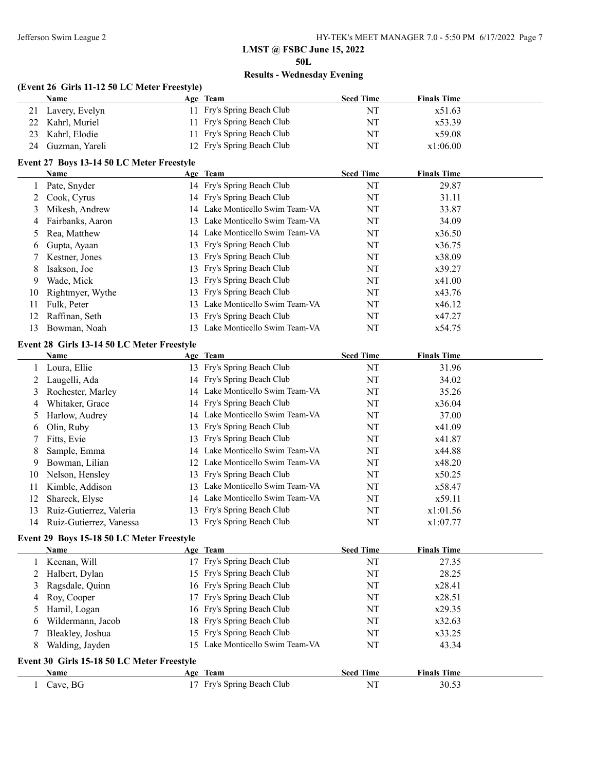**50L**

# **Results - Wednesday Evening**

### **(Event 26 Girls 11-12 50 LC Meter Freestyle)**

|    | Name              | Age Team                   | <b>Seed Time</b> | <b>Finals Time</b> |
|----|-------------------|----------------------------|------------------|--------------------|
|    | Lavery, Evelyn    | 11 Fry's Spring Beach Club | NT               | x51.63             |
|    | 22 Kahrl, Muriel  | 11 Fry's Spring Beach Club | NT               | x53.39             |
| 23 | Kahrl, Elodie     | 11 Fry's Spring Beach Club | NT               | x59.08             |
|    | 24 Guzman, Yareli | 12 Fry's Spring Beach Club | NT               | x1:06.00           |

# **Event 27 Boys 13-14 50 LC Meter Freestyle**

|    | <b>Name</b>      |     | Age Team                        | <b>Seed Time</b> | <b>Finals Time</b> |  |
|----|------------------|-----|---------------------------------|------------------|--------------------|--|
|    | Pate, Snyder     |     | 14 Fry's Spring Beach Club      | NT               | 29.87              |  |
|    | Cook, Cyrus      |     | 14 Fry's Spring Beach Club      | NT               | 31.11              |  |
| 3  | Mikesh, Andrew   |     | 14 Lake Monticello Swim Team-VA | NT               | 33.87              |  |
| 4  | Fairbanks, Aaron |     | 13 Lake Monticello Swim Team-VA | NT               | 34.09              |  |
|    | 5 Rea, Matthew   |     | 14 Lake Monticello Swim Team-VA | NT               | x36.50             |  |
| 6  | Gupta, Ayaan     |     | 13 Fry's Spring Beach Club      | NT               | x36.75             |  |
|    | Kestner, Jones   |     | 13 Fry's Spring Beach Club      | NT               | x38.09             |  |
| 8  | Isakson, Joe     |     | 13 Fry's Spring Beach Club      | NT               | x39.27             |  |
| 9  | Wade, Mick       |     | 13 Fry's Spring Beach Club      | NT               | x41.00             |  |
| 10 | Rightmyer, Wythe |     | 13 Fry's Spring Beach Club      | NT               | x43.76             |  |
| 11 | Fulk, Peter      | 13. | Lake Monticello Swim Team-VA    | NT               | x46.12             |  |
| 12 | Raffinan, Seth   |     | 13 Fry's Spring Beach Club      | NT               | x47.27             |  |
| 13 | Bowman, Noah     |     | 13 Lake Monticello Swim Team-VA | NT               | x54.75             |  |

### **Event 28 Girls 13-14 50 LC Meter Freestyle**

|    | <b>Name</b>             | Age Team                        | <b>Seed Time</b> | <b>Finals Time</b> |  |
|----|-------------------------|---------------------------------|------------------|--------------------|--|
|    | 1 Loura, Ellie          | 13 Fry's Spring Beach Club      | NT               | 31.96              |  |
|    | Laugelli, Ada           | 14 Fry's Spring Beach Club      | NT               | 34.02              |  |
| 3  | Rochester, Marley       | 14 Lake Monticello Swim Team-VA | NT               | 35.26              |  |
| 4  | Whitaker, Grace         | 14 Fry's Spring Beach Club      | NT               | x36.04             |  |
| 5  | Harlow, Audrey          | 14 Lake Monticello Swim Team-VA | NT               | 37.00              |  |
| 6  | Olin, Ruby              | 13 Fry's Spring Beach Club      | NT               | x41.09             |  |
|    | Fitts, Evie             | 13 Fry's Spring Beach Club      | NT               | x41.87             |  |
| 8  | Sample, Emma            | 14 Lake Monticello Swim Team-VA | NT               | x44.88             |  |
| 9  | Bowman, Lilian          | 12 Lake Monticello Swim Team-VA | NT               | x48.20             |  |
| 10 | Nelson, Hensley         | 13 Fry's Spring Beach Club      | NT               | x50.25             |  |
| 11 | Kimble, Addison         | 13 Lake Monticello Swim Team-VA | NT               | x58.47             |  |
| 12 | Shareck, Elyse          | 14 Lake Monticello Swim Team-VA | NT               | x59.11             |  |
| 13 | Ruiz-Gutierrez, Valeria | 13 Fry's Spring Beach Club      | NT               | x1:01.56           |  |
| 14 | Ruiz-Gutierrez, Vanessa | 13 Fry's Spring Beach Club      | NT               | x1:07.77           |  |

### **Event 29 Boys 15-18 50 LC Meter Freestyle**

|                                            | <b>Name</b>       |  | Age Team                        | <b>Seed Time</b> | <b>Finals Time</b> |  |
|--------------------------------------------|-------------------|--|---------------------------------|------------------|--------------------|--|
|                                            | Keenan, Will      |  | 17 Fry's Spring Beach Club      | NT               | 27.35              |  |
| 2                                          | Halbert, Dylan    |  | 15 Fry's Spring Beach Club      | NT               | 28.25              |  |
|                                            | Ragsdale, Quinn   |  | 16 Fry's Spring Beach Club      | NT               | x28.41             |  |
| 4                                          | Roy, Cooper       |  | 17 Fry's Spring Beach Club      | NT               | x28.51             |  |
|                                            | Hamil, Logan      |  | 16 Fry's Spring Beach Club      | NT               | x29.35             |  |
| 6                                          | Wildermann, Jacob |  | 18 Fry's Spring Beach Club      | NT               | x32.63             |  |
|                                            | Bleakley, Joshua  |  | 15 Fry's Spring Beach Club      | NT               | x33.25             |  |
| 8                                          | Walding, Jayden   |  | 15 Lake Monticello Swim Team-VA | NT               | 43.34              |  |
| Event 30 Girls 15-18 50 LC Meter Freestyle |                   |  |                                 |                  |                    |  |
|                                            | Name              |  | Age Team                        | <b>Seed Time</b> | <b>Finals Time</b> |  |
|                                            | Cave, BG          |  | 17 Fry's Spring Beach Club      | NT               | 30.53              |  |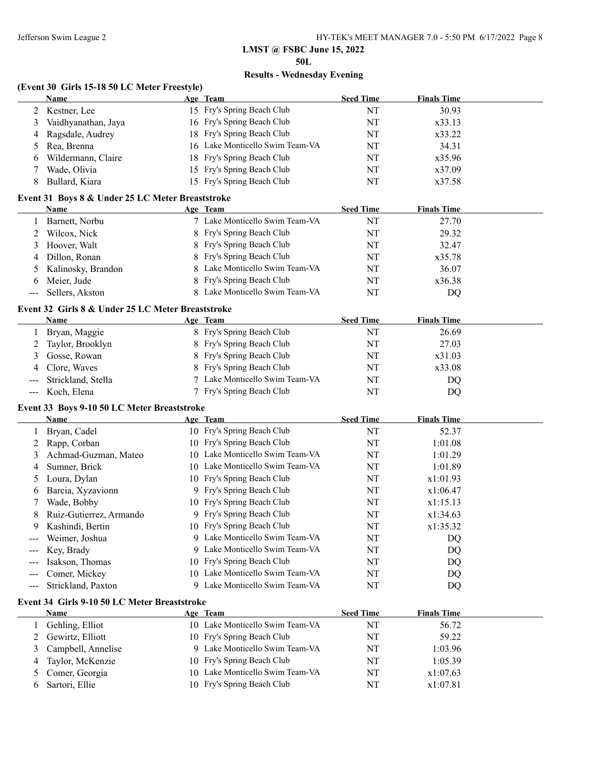$\overline{\phantom{a}}$ 

# **LMST @ FSBC June 15, 2022**

**50L**

# **Results - Wednesday Evening**

### **(Event 30 Girls 15-18 50 LC Meter Freestyle)**

|    | <b>Name</b>         | Age Team                        | <b>Seed Time</b> | <b>Finals Time</b> |  |
|----|---------------------|---------------------------------|------------------|--------------------|--|
|    | 2 Kestner, Lee      | 15 Fry's Spring Beach Club      | NT               | 30.93              |  |
|    | Vaidhyanathan, Jaya | 16 Fry's Spring Beach Club      | NT               | x33.13             |  |
|    | 4 Ragsdale, Audrey  | 18 Fry's Spring Beach Club      | NT               | x33.22             |  |
|    | 5 Rea, Brenna       | 16 Lake Monticello Swim Team-VA | NT               | 34.31              |  |
| 6. | Wildermann, Claire  | 18 Fry's Spring Beach Club      | NT               | x35.96             |  |
|    | Wade, Olivia        | 15 Fry's Spring Beach Club      | NT               | x37.09             |  |
|    | Bullard, Kiara      | 15 Fry's Spring Beach Club      | NT               | x37.58             |  |

### **Event 31 Boys 8 & Under 25 LC Meter Breaststroke**

| <b>Name</b>          | Age Team                       | <b>Seed Time</b> | <b>Finals Time</b> |  |
|----------------------|--------------------------------|------------------|--------------------|--|
| Barnett, Norbu       | 7 Lake Monticello Swim Team-VA | NT               | 27.70              |  |
| 2 Wilcox, Nick       | 8 Fry's Spring Beach Club      | NT               | 29.32              |  |
| 3 Hoover, Walt       | 8 Fry's Spring Beach Club      | NT               | 32.47              |  |
| 4 Dillon, Ronan      | 8 Fry's Spring Beach Club      | NT               | x35.78             |  |
| 5 Kalinosky, Brandon | 8 Lake Monticello Swim Team-VA | NT               | 36.07              |  |
| 6 Meier, Jude        | 8 Fry's Spring Beach Club      | NT               | x36.38             |  |
| --- Sellers, Akston  | 8 Lake Monticello Swim Team-VA | NT               | DO                 |  |

### **Event 32 Girls 8 & Under 25 LC Meter Breaststroke**

|   | <b>Name</b>            | Age Team                       | <b>Seed Time</b> | <b>Finals Time</b> |  |
|---|------------------------|--------------------------------|------------------|--------------------|--|
|   | Bryan, Maggie          | 8 Fry's Spring Beach Club      | NT               | 26.69              |  |
|   | 2 Taylor, Brooklyn     | 8 Fry's Spring Beach Club      | NT               | 27.03              |  |
| 3 | Gosse, Rowan           | 8 Fry's Spring Beach Club      | NT               | x31.03             |  |
|   | 4 Clore, Waves         | 8 Fry's Spring Beach Club      | NT               | x33.08             |  |
|   | --- Strickland, Stella | 7 Lake Monticello Swim Team-VA | NT               | DQ                 |  |
|   | --- Koch, Elena        | 7 Fry's Spring Beach Club      | NT               | DO                 |  |

# **Event 33 Boys 9-10 50 LC Meter Breaststroke**

|   | <b>Name</b>             |    | Age Team                        | <b>Seed Time</b> | <b>Finals Time</b> |  |
|---|-------------------------|----|---------------------------------|------------------|--------------------|--|
|   | 1 Bryan, Cadel          |    | 10 Fry's Spring Beach Club      | NT               | 52.37              |  |
| 2 | Rapp, Corban            |    | 10 Fry's Spring Beach Club      | NT               | 1:01.08            |  |
| 3 | Achmad-Guzman, Mateo    | 10 | Lake Monticello Swim Team-VA    | NT               | 1:01.29            |  |
| 4 | Sumner, Brick           |    | 10 Lake Monticello Swim Team-VA | NT               | 1:01.89            |  |
|   | Loura, Dylan            |    | 10 Fry's Spring Beach Club      | NT               | x1:01.93           |  |
| 6 | Barcia, Xyzavionn       |    | 9 Fry's Spring Beach Club       | NT               | x1:06.47           |  |
|   | Wade, Bobby             |    | 10 Fry's Spring Beach Club      | NT               | x1:15.13           |  |
| 8 | Ruiz-Gutierrez, Armando |    | 9 Fry's Spring Beach Club       | NT               | x1:34.63           |  |
| 9 | Kashindi, Bertin        |    | 10 Fry's Spring Beach Club      | NT               | x1:35.32           |  |
|   | Weimer, Joshua          |    | 9 Lake Monticello Swim Team-VA  | NT               | DQ                 |  |
|   | Key, Brady              |    | 9 Lake Monticello Swim Team-VA  | NT               | DQ                 |  |
|   | Isakson, Thomas         |    | 10 Fry's Spring Beach Club      | NT               | DQ                 |  |
|   | Comer, Mickey           |    | 10 Lake Monticello Swim Team-VA | NT               | DQ                 |  |
|   | Strickland, Paxton      |    | 9 Lake Monticello Swim Team-VA  | NT               | DQ                 |  |

### **Event 34 Girls 9-10 50 LC Meter Breaststroke**

|    | Name                 | Age Team                        | <b>Seed Time</b> | <b>Finals Time</b> |  |
|----|----------------------|---------------------------------|------------------|--------------------|--|
|    | Gehling, Elliot      | 10 Lake Monticello Swim Team-VA | NT               | 56.72              |  |
|    | 2 Gewirtz, Elliott   | 10 Fry's Spring Beach Club      | NT               | 59.22              |  |
|    | 3 Campbell, Annelise | 9 Lake Monticello Swim Team-VA  | NT               | 1:03.96            |  |
|    | 4 Taylor, McKenzie   | 10 Fry's Spring Beach Club      | NT               | 1:05.39            |  |
|    | 5 Comer, Georgia     | 10 Lake Monticello Swim Team-VA | NT               | x1:07.63           |  |
| b. | Sartori, Ellie       | 10 Fry's Spring Beach Club      | NT               | x1:07.81           |  |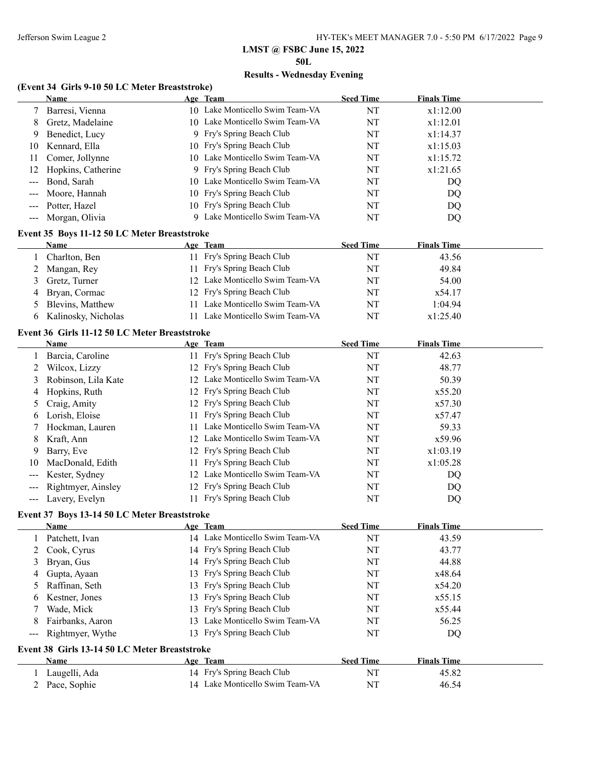**50L**

### **Results - Wednesday Evening**

# **(Event 34 Girls 9-10 50 LC Meter Breaststroke)**

|                   | Name                                                        |    | Age Team                        | <b>Seed Time</b> | <b>Finals Time</b> |  |
|-------------------|-------------------------------------------------------------|----|---------------------------------|------------------|--------------------|--|
|                   | Barresi, Vienna                                             |    | 10 Lake Monticello Swim Team-VA | NT               | x1:12.00           |  |
| 8                 | Gretz, Madelaine                                            |    | 10 Lake Monticello Swim Team-VA | NT               | x1:12.01           |  |
| 9                 | Benedict, Lucy                                              |    | 9 Fry's Spring Beach Club       | NT               | x1:14.37           |  |
| 10                | Kennard, Ella                                               |    | 10 Fry's Spring Beach Club      | NT               | x1:15.03           |  |
| 11                | Comer, Jollynne                                             |    | 10 Lake Monticello Swim Team-VA | NT               | x1:15.72           |  |
| 12                | Hopkins, Catherine                                          |    | 9 Fry's Spring Beach Club       | NT               | x1:21.65           |  |
| $---$             | Bond, Sarah                                                 |    | 10 Lake Monticello Swim Team-VA | NT               | DQ                 |  |
| ---               | Moore, Hannah                                               |    | 10 Fry's Spring Beach Club      | NT               | DQ                 |  |
| ---               | Potter, Hazel                                               |    | 10 Fry's Spring Beach Club      | NT               | DQ                 |  |
| ---               | Morgan, Olivia                                              |    | 9 Lake Monticello Swim Team-VA  | NT               | DQ                 |  |
|                   | Event 35 Boys 11-12 50 LC Meter Breaststroke                |    |                                 |                  |                    |  |
|                   | Name                                                        |    | Age Team                        | <b>Seed Time</b> | <b>Finals Time</b> |  |
| 1                 | Charlton, Ben                                               |    | 11 Fry's Spring Beach Club      | NT               | 43.56              |  |
| 2                 | Mangan, Rey                                                 |    | 11 Fry's Spring Beach Club      | NT               | 49.84              |  |
| 3                 | Gretz, Turner                                               |    | 12 Lake Monticello Swim Team-VA | NT               | 54.00              |  |
| 4                 | Bryan, Cormac                                               |    | 12 Fry's Spring Beach Club      | NT               | x54.17             |  |
| 5                 | Blevins, Matthew                                            |    | 11 Lake Monticello Swim Team-VA | NT               | 1:04.94            |  |
| 6                 | Kalinosky, Nicholas                                         |    | 11 Lake Monticello Swim Team-VA | NT               | x1:25.40           |  |
|                   | Event 36 Girls 11-12 50 LC Meter Breaststroke               |    |                                 |                  |                    |  |
|                   | Name                                                        |    | Age Team                        | <b>Seed Time</b> | <b>Finals Time</b> |  |
|                   | Barcia, Caroline                                            |    | 11 Fry's Spring Beach Club      | NT               | 42.63              |  |
| 2                 | Wilcox, Lizzy                                               |    | 12 Fry's Spring Beach Club      | NT               | 48.77              |  |
| 3                 | Robinson, Lila Kate                                         |    | 12 Lake Monticello Swim Team-VA | NT               | 50.39              |  |
| 4                 | Hopkins, Ruth                                               |    | 12 Fry's Spring Beach Club      | NT               | x55.20             |  |
| 5                 | Craig, Amity                                                |    | 12 Fry's Spring Beach Club      | NT               | x57.30             |  |
| 6                 | Lorish, Eloise                                              |    | 11 Fry's Spring Beach Club      | NT               | x57.47             |  |
| 7                 | Hockman, Lauren                                             |    | 11 Lake Monticello Swim Team-VA | NT               | 59.33              |  |
| 8                 | Kraft, Ann                                                  |    | 12 Lake Monticello Swim Team-VA | NT               | x59.96             |  |
| 9                 | Barry, Eve                                                  |    | 12 Fry's Spring Beach Club      | NT               | x1:03.19           |  |
| 10                | MacDonald, Edith                                            |    | 11 Fry's Spring Beach Club      | NT               | x1:05.28           |  |
|                   | Kester, Sydney                                              |    | 12 Lake Monticello Swim Team-VA | NT               | DQ                 |  |
| ---               | Rightmyer, Ainsley                                          |    | 12 Fry's Spring Beach Club      | NT               | DQ                 |  |
| $\qquad \qquad -$ | Lavery, Evelyn                                              |    | 11 Fry's Spring Beach Club      | NT               | DQ                 |  |
|                   |                                                             |    |                                 |                  |                    |  |
|                   | Event 37 Boys 13-14 50 LC Meter Breaststroke<br><b>Name</b> |    | Age Team                        | <b>Seed Time</b> | <b>Finals Time</b> |  |
| 1                 | Patchett, Ivan                                              |    | 14 Lake Monticello Swim Team-VA | NT               | 43.59              |  |
| 2                 | Cook, Cyrus                                                 |    | 14 Fry's Spring Beach Club      | NT               | 43.77              |  |
| 3                 | Bryan, Gus                                                  |    | 14 Fry's Spring Beach Club      | NT               | 44.88              |  |
|                   |                                                             |    | Fry's Spring Beach Club         |                  |                    |  |
| 4                 | Gupta, Ayaan                                                | 13 |                                 | NT               | x48.64             |  |
| 5                 | Raffinan, Seth                                              | 13 | Fry's Spring Beach Club         | NT               | x54.20             |  |
| 6                 | Kestner, Jones                                              | 13 | Fry's Spring Beach Club         | NT               | x55.15             |  |
| 7                 | Wade, Mick                                                  | 13 | Fry's Spring Beach Club         | NT               | x55.44             |  |
| 8                 | Fairbanks, Aaron                                            |    | 13 Lake Monticello Swim Team-VA | NT               | 56.25              |  |
| ---               | Rightmyer, Wythe                                            |    | 13 Fry's Spring Beach Club      | NT               | DQ                 |  |
|                   | Event 38 Girls 13-14 50 LC Meter Breaststroke               |    |                                 |                  |                    |  |
|                   | Name                                                        |    | Age Team                        | <b>Seed Time</b> | <b>Finals Time</b> |  |
| 1                 | Laugelli, Ada                                               |    | 14 Fry's Spring Beach Club      | NT               | 45.82              |  |
| 2                 | Pace, Sophie                                                |    | 14 Lake Monticello Swim Team-VA | NT               | 46.54              |  |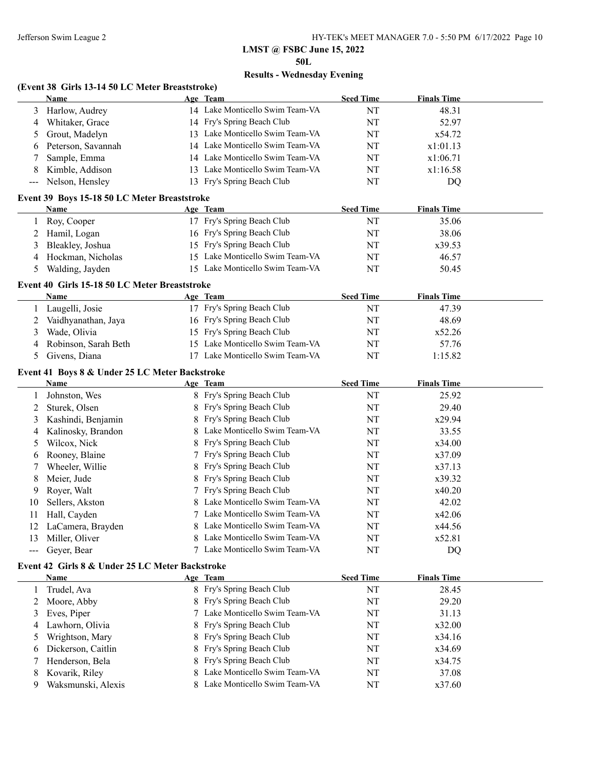**50L**

# **Results - Wednesday Evening**

# **(Event 38 Girls 13-14 50 LC Meter Breaststroke)**

|                   | <b>Name</b>                                     |    | Age Team                        | <b>Seed Time</b> | <b>Finals Time</b> |  |
|-------------------|-------------------------------------------------|----|---------------------------------|------------------|--------------------|--|
| 3                 | Harlow, Audrey                                  |    | 14 Lake Monticello Swim Team-VA | NT               | 48.31              |  |
| 4                 | Whitaker, Grace                                 |    | 14 Fry's Spring Beach Club      | NT               | 52.97              |  |
| 5                 | Grout, Madelyn                                  |    | 13 Lake Monticello Swim Team-VA | NT               | x54.72             |  |
| 6                 | Peterson, Savannah                              |    | 14 Lake Monticello Swim Team-VA | NT               | x1:01.13           |  |
| 7                 | Sample, Emma                                    |    | 14 Lake Monticello Swim Team-VA | NT               | x1:06.71           |  |
| 8                 | Kimble, Addison                                 |    | 13 Lake Monticello Swim Team-VA | NT               | x1:16.58           |  |
| $\qquad \qquad -$ | Nelson, Hensley                                 |    | 13 Fry's Spring Beach Club      | NT               | <b>DQ</b>          |  |
|                   | Event 39 Boys 15-18 50 LC Meter Breaststroke    |    |                                 |                  |                    |  |
|                   | Name                                            |    | Age Team                        | <b>Seed Time</b> | <b>Finals Time</b> |  |
| 1                 | Roy, Cooper                                     |    | 17 Fry's Spring Beach Club      | NT               | 35.06              |  |
| 2                 | Hamil, Logan                                    |    | 16 Fry's Spring Beach Club      | NT               | 38.06              |  |
| 3                 | Bleakley, Joshua                                |    | 15 Fry's Spring Beach Club      | NT               | x39.53             |  |
| 4                 | Hockman, Nicholas                               |    | 15 Lake Monticello Swim Team-VA | NT               | 46.57              |  |
| 5                 | Walding, Jayden                                 |    | 15 Lake Monticello Swim Team-VA | NT               | 50.45              |  |
|                   |                                                 |    |                                 |                  |                    |  |
|                   | Event 40 Girls 15-18 50 LC Meter Breaststroke   |    |                                 |                  |                    |  |
|                   | Name                                            |    | Age Team                        | <b>Seed Time</b> | <b>Finals Time</b> |  |
| 1                 | Laugelli, Josie                                 |    | 17 Fry's Spring Beach Club      | NT               | 47.39              |  |
| 2                 | Vaidhyanathan, Jaya                             |    | 16 Fry's Spring Beach Club      | NT               | 48.69              |  |
| 3                 | Wade, Olivia                                    |    | 15 Fry's Spring Beach Club      | NT               | x52.26             |  |
| 4                 | Robinson, Sarah Beth                            |    | 15 Lake Monticello Swim Team-VA | NT               | 57.76              |  |
| 5                 | Givens, Diana                                   |    | 17 Lake Monticello Swim Team-VA | NT               | 1:15.82            |  |
|                   | Event 41 Boys 8 & Under 25 LC Meter Backstroke  |    |                                 |                  |                    |  |
|                   | Name                                            |    | Age Team                        | <b>Seed Time</b> | <b>Finals Time</b> |  |
| 1                 | Johnston, Wes                                   |    | 8 Fry's Spring Beach Club       | NT               | 25.92              |  |
| 2                 | Sturek, Olsen                                   | 8  | Fry's Spring Beach Club         | NT               | 29.40              |  |
| 3                 | Kashindi, Benjamin                              | 8  | Fry's Spring Beach Club         | NT               | x29.94             |  |
| 4                 | Kalinosky, Brandon                              | 8. | Lake Monticello Swim Team-VA    | NT               | 33.55              |  |
| 5                 | Wilcox, Nick                                    | 8  | Fry's Spring Beach Club         | NT               | x34.00             |  |
| 6                 | Rooney, Blaine                                  |    | 7 Fry's Spring Beach Club       | NT               | x37.09             |  |
| 7                 | Wheeler, Willie                                 | 8  | Fry's Spring Beach Club         | NT               | x37.13             |  |
| 8                 | Meier, Jude                                     | 8  | Fry's Spring Beach Club         | NT               | x39.32             |  |
| 9                 | Royer, Walt                                     |    | 7 Fry's Spring Beach Club       | NT               | x40.20             |  |
| 10                | Sellers, Akston                                 |    | Lake Monticello Swim Team-VA    | NT               | 42.02              |  |
| 11                | Hall, Cayden                                    |    | Lake Monticello Swim Team-VA    | NT               | x42.06             |  |
| 12                | LaCamera, Brayden                               |    | Lake Monticello Swim Team-VA    | NT               | x44.56             |  |
| 13                | Miller, Oliver                                  |    | Lake Monticello Swim Team-VA    | NT               | x52.81             |  |
| $\qquad \qquad -$ | Geyer, Bear                                     | 7  | Lake Monticello Swim Team-VA    | NT               | DQ                 |  |
|                   | Event 42 Girls 8 & Under 25 LC Meter Backstroke |    |                                 |                  |                    |  |
|                   | <b>Name</b>                                     |    | Age Team                        | <b>Seed Time</b> | <b>Finals Time</b> |  |
| 1                 | Trudel, Ava                                     |    | 8 Fry's Spring Beach Club       | NT               | 28.45              |  |
| 2                 | Moore, Abby                                     |    | Fry's Spring Beach Club         | NT               | 29.20              |  |
| 3                 | Eves, Piper                                     |    | 7 Lake Monticello Swim Team-VA  | NT               | 31.13              |  |
| 4                 | Lawhorn, Olivia                                 |    | Fry's Spring Beach Club         | NT               | x32.00             |  |
| 5                 | Wrightson, Mary                                 | 8  | Fry's Spring Beach Club         | NT               | x34.16             |  |
| 6                 | Dickerson, Caitlin                              | 8  | Fry's Spring Beach Club         | NT               | x34.69             |  |
| 7                 | Henderson, Bela                                 | 8  | Fry's Spring Beach Club         | NT               | x34.75             |  |
| 8                 | Kovarik, Riley                                  |    | Lake Monticello Swim Team-VA    | NT               | 37.08              |  |
| 9                 | Waksmunski, Alexis                              |    | Lake Monticello Swim Team-VA    | NT               | x37.60             |  |
|                   |                                                 |    |                                 |                  |                    |  |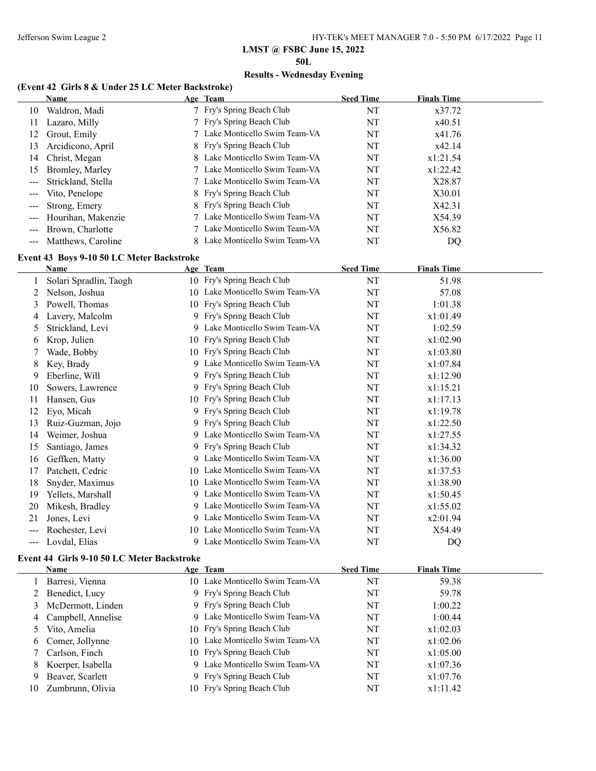$\overline{a}$ 

**LMST @ FSBC June 15, 2022**

**50L**

# **Results - Wednesday Evening**

### **(Event 42 Girls 8 & Under 25 LC Meter Backstroke)**

|                                          | Name               | Age Team                       | <b>Seed Time</b> | <b>Finals Time</b> |  |
|------------------------------------------|--------------------|--------------------------------|------------------|--------------------|--|
| 10-                                      | Waldron, Madi      | 7 Fry's Spring Beach Club      | NT               | x37.72             |  |
| 11                                       | Lazaro, Milly      | 7 Fry's Spring Beach Club      | NT               | x40.51             |  |
| 12                                       | Grout, Emily       | 7 Lake Monticello Swim Team-VA | NT               | x41.76             |  |
| 13                                       | Arcidicono, April  | 8 Fry's Spring Beach Club      | NT               | x42.14             |  |
|                                          | 14 Christ, Megan   | 8 Lake Monticello Swim Team-VA | NT               | x1:21.54           |  |
| 15                                       | Bromley, Marley    | 7 Lake Monticello Swim Team-VA | NT               | x1:22.42           |  |
|                                          | Strickland, Stella | 7 Lake Monticello Swim Team-VA | NT               | X28.87             |  |
| $\qquad \qquad - -$                      | Vito, Penelope     | 8 Fry's Spring Beach Club      | NT               | X30.01             |  |
| $\hspace{0.05cm} \ldots \hspace{0.05cm}$ | Strong, Emery      | 8 Fry's Spring Beach Club      | NT               | X42.31             |  |
|                                          | Hourihan, Makenzie | 7 Lake Monticello Swim Team-VA | NT               | X54.39             |  |
|                                          | Brown, Charlotte   | 7 Lake Monticello Swim Team-VA | NT               | X56.82             |  |
|                                          | Matthews, Caroline | 8 Lake Monticello Swim Team-VA | NT               | DO                 |  |

### **Event 43 Boys 9-10 50 LC Meter Backstroke**

|     | <b>Name</b>            |     | Age Team                       | <b>Seed Time</b> | <b>Finals Time</b> |  |
|-----|------------------------|-----|--------------------------------|------------------|--------------------|--|
|     | Solari Spradlin, Taogh |     | 10 Fry's Spring Beach Club     | NT               | 51.98              |  |
|     | Nelson, Joshua         | 10. | Lake Monticello Swim Team-VA   | NT               | 57.08              |  |
| 3   | Powell, Thomas         |     | 10 Fry's Spring Beach Club     | NT               | 1:01.38            |  |
| 4   | Lavery, Malcolm        |     | 9 Fry's Spring Beach Club      | NT               | x1:01.49           |  |
| 5   | Strickland, Levi       | 9   | Lake Monticello Swim Team-VA   | NT               | 1:02.59            |  |
| 6   | Krop, Julien           |     | 10 Fry's Spring Beach Club     | NT               | x1:02.90           |  |
|     | Wade, Bobby            |     | 10 Fry's Spring Beach Club     | NT               | x1:03.80           |  |
| 8   | Key, Brady             | 9   | Lake Monticello Swim Team-VA   | NT               | x1:07.84           |  |
| 9   | Eberline, Will         |     | 9 Fry's Spring Beach Club      | NT               | x1:12.90           |  |
| 10  | Sowers, Lawrence       |     | 9 Fry's Spring Beach Club      | NT               | x1:15.21           |  |
| 11  | Hansen, Gus            |     | 10 Fry's Spring Beach Club     | NT               | x1:17.13           |  |
| 12  | Eyo, Micah             |     | 9 Fry's Spring Beach Club      | NT               | x1:19.78           |  |
| 13  | Ruiz-Guzman, Jojo      |     | 9 Fry's Spring Beach Club      | NT               | x1:22.50           |  |
| 14  | Weimer, Joshua         |     | 9 Lake Monticello Swim Team-VA | NT               | x1:27.55           |  |
| 15  | Santiago, James        |     | 9 Fry's Spring Beach Club      | NT               | x1:34.32           |  |
| 16  | Geffken, Matty         |     | 9 Lake Monticello Swim Team-VA | NT               | x1:36.00           |  |
| 17  | Patchett, Cedric       | 10  | Lake Monticello Swim Team-VA   | NT               | x1:37.53           |  |
| 18  | Snyder, Maximus        | 10  | Lake Monticello Swim Team-VA   | NT               | x1:38.90           |  |
| 19  | Yellets, Marshall      | 9   | Lake Monticello Swim Team-VA   | NT               | x1:50.45           |  |
| 20  | Mikesh, Bradley        |     | 9 Lake Monticello Swim Team-VA | NT               | x1:55.02           |  |
| 21  | Jones, Levi            | 9   | Lake Monticello Swim Team-VA   | NT               | x2:01.94           |  |
| --- | Rochester, Levi        | 10. | Lake Monticello Swim Team-VA   | NT               | X54.49             |  |
| --- | Lovdal, Elias          | 9   | Lake Monticello Swim Team-VA   | NT               | DQ                 |  |

### **Event 44 Girls 9-10 50 LC Meter Backstroke**

|    | Name                 | Age Team                        | <b>Seed Time</b> | <b>Finals Time</b> |
|----|----------------------|---------------------------------|------------------|--------------------|
|    | Barresi, Vienna      | 10 Lake Monticello Swim Team-VA | NT               | 59.38              |
|    | 2 Benedict, Lucy     | 9 Fry's Spring Beach Club       | NT               | 59.78              |
|    | 3 McDermott, Linden  | 9 Fry's Spring Beach Club       | NT               | 1:00.22            |
|    | 4 Campbell, Annelise | 9 Lake Monticello Swim Team-VA  | NT               | 1:00.44            |
|    | 5 Vito, Amelia       | 10 Fry's Spring Beach Club      | NT               | x1:02.03           |
|    | 6 Comer, Jollynne    | 10 Lake Monticello Swim Team-VA | NT               | x1:02.06           |
|    | 7 Carlson, Finch     | 10 Fry's Spring Beach Club      | NT               | x1:05.00           |
| 8  | Koerper, Isabella    | 9 Lake Monticello Swim Team-VA  | NT               | x1:07.36           |
| 9  | Beaver, Scarlett     | 9 Fry's Spring Beach Club       | NT               | x1:07.76           |
| 10 | Zumbrunn, Olivia     | 10 Fry's Spring Beach Club      | NT               | x1:11.42           |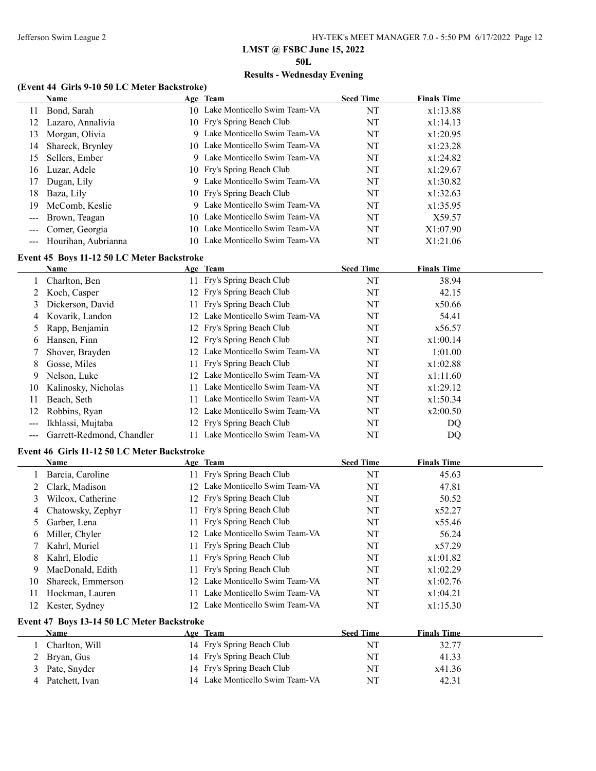**50L**

### **Results - Wednesday Evening**

### **(Event 44 Girls 9-10 50 LC Meter Backstroke)**

|                            | <b>Name</b>         |    | Age Team                        | <b>Seed Time</b> | <b>Finals Time</b> |
|----------------------------|---------------------|----|---------------------------------|------------------|--------------------|
| 11                         | Bond, Sarah         |    | 10 Lake Monticello Swim Team-VA | NT               | x1:13.88           |
| 12                         | Lazaro, Annalivia   |    | 10 Fry's Spring Beach Club      | NT               | x1:14.13           |
| 13                         | Morgan, Olivia      |    | 9 Lake Monticello Swim Team-VA  | NT               | x1:20.95           |
| 14                         | Shareck, Brynley    |    | 10 Lake Monticello Swim Team-VA | NT               | x1:23.28           |
| 15                         | Sellers, Ember      |    | 9 Lake Monticello Swim Team-VA  | NT               | x1:24.82           |
| 16                         | Luzar, Adele        |    | 10 Fry's Spring Beach Club      | NT               | x1:29.67           |
| 17                         | Dugan, Lily         |    | 9 Lake Monticello Swim Team-VA  | NT               | x1:30.82           |
| 18                         | Baza, Lily          |    | 10 Fry's Spring Beach Club      | NT               | x1:32.63           |
| 19                         | McComb, Keslie      |    | 9 Lake Monticello Swim Team-VA  | NT               | x1:35.95           |
| $\qquad \qquad \text{---}$ | Brown, Teagan       |    | 10 Lake Monticello Swim Team-VA | NT               | X59.57             |
| $\frac{1}{2}$              | Comer, Georgia      |    | 10 Lake Monticello Swim Team-VA | NT               | X1:07.90           |
|                            | Hourihan, Aubrianna | 10 | Lake Monticello Swim Team-VA    | NT               | X1:21.06           |
|                            |                     |    |                                 |                  |                    |

# **Event 45 Boys 11-12 50 LC Meter Backstroke**

|    | Name                      |     | Age Team                        | <b>Seed Time</b> | <b>Finals Time</b> |  |
|----|---------------------------|-----|---------------------------------|------------------|--------------------|--|
|    | Charlton, Ben             |     | 11 Fry's Spring Beach Club      | NT               | 38.94              |  |
|    | Koch, Casper              |     | 12 Fry's Spring Beach Club      | NT               | 42.15              |  |
| 3  | Dickerson, David          |     | 11 Fry's Spring Beach Club      | NT               | x50.66             |  |
|    | 4 Kovarik, Landon         | 12. | Lake Monticello Swim Team-VA    | NT               | 54.41              |  |
|    | 5 Rapp, Benjamin          |     | 12 Fry's Spring Beach Club      | NT               | x56.57             |  |
| 6  | Hansen, Finn              |     | 12 Fry's Spring Beach Club      | NT               | x1:00.14           |  |
|    | Shover, Brayden           |     | 12 Lake Monticello Swim Team-VA | NT               | 1:01.00            |  |
| 8  | Gosse, Miles              |     | 11 Fry's Spring Beach Club      | NT               | x1:02.88           |  |
| 9  | Nelson, Luke              |     | 12 Lake Monticello Swim Team-VA | NT               | x1:11.60           |  |
| 10 | Kalinosky, Nicholas       |     | Lake Monticello Swim Team-VA    | NT               | x1:29.12           |  |
| 11 | Beach, Seth               | 11. | Lake Monticello Swim Team-VA    | NT               | x1:50.34           |  |
| 12 | Robbins, Ryan             | 12  | Lake Monticello Swim Team-VA    | NT               | x2:00.50           |  |
|    | Ikhlassi, Mujtaba         |     | 12 Fry's Spring Beach Club      | NT               | DQ                 |  |
|    | Garrett-Redmond, Chandler | 11. | Lake Monticello Swim Team-VA    | NΤ               | DQ                 |  |

# **Event 46 Girls 11-12 50 LC Meter Backstroke**

|    | <b>Name</b>         |                 | Age Team                        | <b>Seed Time</b> | <b>Finals Time</b> |
|----|---------------------|-----------------|---------------------------------|------------------|--------------------|
|    | Barcia, Caroline    |                 | 11 Fry's Spring Beach Club      | NT               | 45.63              |
|    | 2 Clark, Madison    |                 | 12 Lake Monticello Swim Team-VA | NT               | 47.81              |
|    | Wilcox, Catherine   |                 | 12 Fry's Spring Beach Club      | NT               | 50.52              |
|    | 4 Chatowsky, Zephyr |                 | 11 Fry's Spring Beach Club      | NT               | x52.27             |
|    | 5 Garber, Lena      |                 | 11 Fry's Spring Beach Club      | NT               | x55.46             |
| 6  | Miller, Chyler      |                 | 12 Lake Monticello Swim Team-VA | NT               | 56.24              |
|    | Kahrl, Muriel       |                 | 11 Fry's Spring Beach Club      | NT               | x57.29             |
| 8  | Kahrl, Elodie       |                 | 11 Fry's Spring Beach Club      | NT               | x1:01.82           |
| 9  | MacDonald, Edith    |                 | 11 Fry's Spring Beach Club      | NT               | x1:02.29           |
| 10 | Shareck, Emmerson   |                 | 12 Lake Monticello Swim Team-VA | NT               | x1:02.76           |
| 11 | Hockman, Lauren     | 11              | Lake Monticello Swim Team-VA    | NT               | x1:04.21           |
| 12 | Kester, Sydney      | 12 <sup>2</sup> | Lake Monticello Swim Team-VA    | NT               | x1:15.30           |

### **Event 47 Boys 13-14 50 LC Meter Backstroke**

| Name           | Age Team                        | <b>Seed Time</b> | <b>Finals Time</b> |  |
|----------------|---------------------------------|------------------|--------------------|--|
| Charlton, Will | 14 Fry's Spring Beach Club      | NT               | 32.77              |  |
| 2 Bryan, Gus   | 14 Fry's Spring Beach Club      | NT               | 41.33              |  |
| Pate, Snyder   | 14 Fry's Spring Beach Club      | NT               | x41.36             |  |
| Patchett, Ivan | 14 Lake Monticello Swim Team-VA | NT               | 42.31              |  |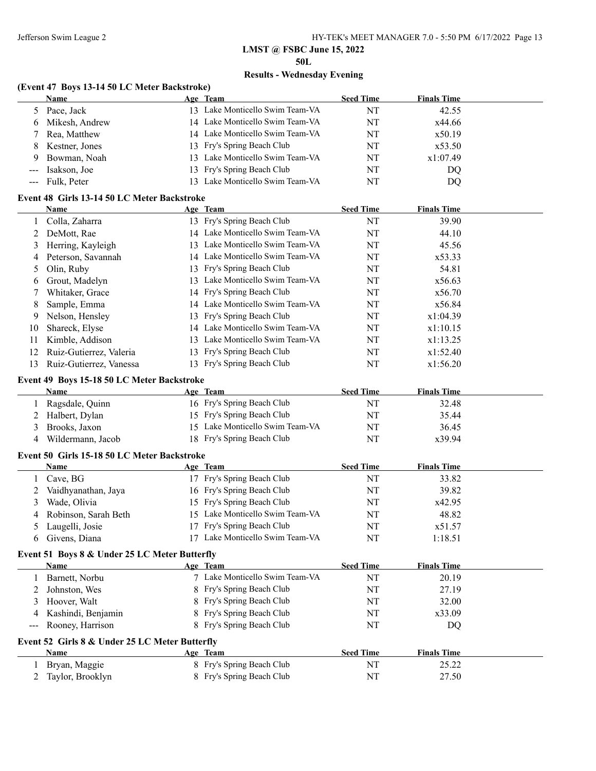**50L**

# **Results - Wednesday Evening**

### **(Event 47 Boys 13-14 50 LC Meter Backstroke)**

|              | <b>Name</b>                                    |    | Age Team                        | <b>Seed Time</b> | <b>Finals Time</b> |  |
|--------------|------------------------------------------------|----|---------------------------------|------------------|--------------------|--|
| 5            | Pace, Jack                                     |    | 13 Lake Monticello Swim Team-VA | NT               | 42.55              |  |
| 6            | Mikesh, Andrew                                 |    | 14 Lake Monticello Swim Team-VA | NT               | x44.66             |  |
| 7            | Rea, Matthew                                   |    | 14 Lake Monticello Swim Team-VA | NT               | x50.19             |  |
| 8            | Kestner, Jones                                 |    | 13 Fry's Spring Beach Club      | NT               | x53.50             |  |
| 9            | Bowman, Noah                                   |    | 13 Lake Monticello Swim Team-VA | NT               | x1:07.49           |  |
| $---$        | Isakson, Joe                                   | 13 | Fry's Spring Beach Club         | NT               | DQ                 |  |
| ---          | Fulk, Peter                                    |    | 13 Lake Monticello Swim Team-VA | NT               | DQ                 |  |
|              | Event 48 Girls 13-14 50 LC Meter Backstroke    |    |                                 |                  |                    |  |
|              | Name                                           |    | Age Team                        | <b>Seed Time</b> | <b>Finals Time</b> |  |
|              |                                                |    | 13 Fry's Spring Beach Club      | NT               | 39.90              |  |
| $\mathbf{1}$ | Colla, Zaharra<br>DeMott, Rae                  |    | 14 Lake Monticello Swim Team-VA | NT               | 44.10              |  |
| 2            |                                                |    | 13 Lake Monticello Swim Team-VA |                  |                    |  |
| 3            | Herring, Kayleigh                              |    |                                 | NT               | 45.56              |  |
| 4            | Peterson, Savannah                             |    | 14 Lake Monticello Swim Team-VA | NT               | x53.33             |  |
| 5            | Olin, Ruby                                     |    | 13 Fry's Spring Beach Club      | NT               | 54.81              |  |
| 6            | Grout, Madelyn                                 |    | 13 Lake Monticello Swim Team-VA | NT               | x56.63             |  |
| 7            | Whitaker, Grace                                |    | 14 Fry's Spring Beach Club      | NT               | x56.70             |  |
| 8            | Sample, Emma                                   |    | 14 Lake Monticello Swim Team-VA | NT               | x56.84             |  |
| 9            | Nelson, Hensley                                |    | 13 Fry's Spring Beach Club      | NT               | x1:04.39           |  |
| 10           | Shareck, Elyse                                 |    | 14 Lake Monticello Swim Team-VA | NT               | x1:10.15           |  |
| 11           | Kimble, Addison                                |    | 13 Lake Monticello Swim Team-VA | NT               | x1:13.25           |  |
| 12           | Ruiz-Gutierrez, Valeria                        |    | 13 Fry's Spring Beach Club      | NT               | x1:52.40           |  |
| 13           | Ruiz-Gutierrez, Vanessa                        |    | 13 Fry's Spring Beach Club      | NT               | x1:56.20           |  |
|              | Event 49 Boys 15-18 50 LC Meter Backstroke     |    |                                 |                  |                    |  |
|              | Name                                           |    | Age Team                        | <b>Seed Time</b> | <b>Finals Time</b> |  |
|              | Ragsdale, Quinn                                |    | 16 Fry's Spring Beach Club      | NT               | 32.48              |  |
| 2            | Halbert, Dylan                                 |    | 15 Fry's Spring Beach Club      | NT               | 35.44              |  |
| 3            | Brooks, Jaxon                                  |    | 15 Lake Monticello Swim Team-VA | NT               | 36.45              |  |
| 4            | Wildermann, Jacob                              |    | 18 Fry's Spring Beach Club      | NT               | x39.94             |  |
|              |                                                |    |                                 |                  |                    |  |
|              | Event 50 Girls 15-18 50 LC Meter Backstroke    |    |                                 |                  |                    |  |
|              | Name                                           |    | Age Team                        | <b>Seed Time</b> | <b>Finals Time</b> |  |
|              | 1 Cave, BG                                     |    | 17 Fry's Spring Beach Club      | $\rm{NT}$        | 33.82              |  |
| 2            | Vaidhyanathan, Jaya                            |    | 16 Fry's Spring Beach Club      | NT               | 39.82              |  |
| 3            | Wade, Olivia                                   |    | 15 Fry's Spring Beach Club      | NT               | x42.95             |  |
| 4            | Robinson, Sarah Beth                           |    | 15 Lake Monticello Swim Team-VA | NT               | 48.82              |  |
| 5            | Laugelli, Josie                                |    | 17 Fry's Spring Beach Club      | NT               | x51.57             |  |
|              | 6 Givens, Diana                                |    | 17 Lake Monticello Swim Team-VA | NT               | 1:18.51            |  |
|              | Event 51 Boys 8 & Under 25 LC Meter Butterfly  |    |                                 |                  |                    |  |
|              | Name                                           |    | Age Team                        | <b>Seed Time</b> | <b>Finals Time</b> |  |
| 1            | Barnett, Norbu                                 |    | 7 Lake Monticello Swim Team-VA  | NT               | 20.19              |  |
| 2            | Johnston, Wes                                  |    | 8 Fry's Spring Beach Club       | NT               | 27.19              |  |
| 3            | Hoover, Walt                                   |    | 8 Fry's Spring Beach Club       | NT               | 32.00              |  |
| 4            | Kashindi, Benjamin                             | 8  | Fry's Spring Beach Club         | NT               | x33.09             |  |
|              | Rooney, Harrison                               |    | Fry's Spring Beach Club         | NT               | DQ                 |  |
|              |                                                |    |                                 |                  |                    |  |
|              | Event 52 Girls 8 & Under 25 LC Meter Butterfly |    |                                 |                  |                    |  |
|              | <b>Name</b>                                    |    | Age Team                        | <b>Seed Time</b> | <b>Finals Time</b> |  |
| 1            | Bryan, Maggie                                  |    | 8 Fry's Spring Beach Club       | NT               | 25.22              |  |
| 2            | Taylor, Brooklyn                               |    | 8 Fry's Spring Beach Club       | NT               | 27.50              |  |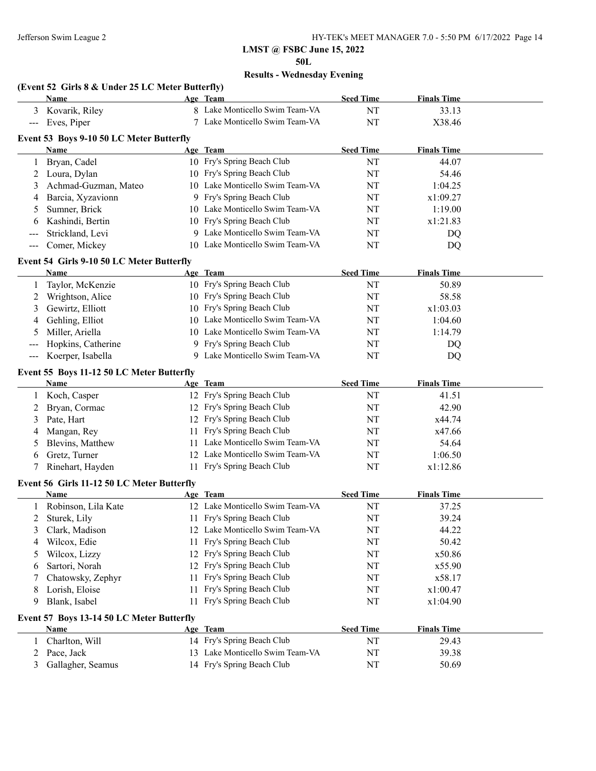### **LMST @ FSBC June 15, 2022 50L**

# **Results - Wednesday Evening**

|  |  |  |  | (Event 52 Girls 8 & Under 25 LC Meter Butterfly) |  |
|--|--|--|--|--------------------------------------------------|--|
|  |  |  |  |                                                  |  |

|                   | <b>Name</b>                                |    | Age Team                        | <b>Seed Time</b> | <b>Finals Time</b> |  |
|-------------------|--------------------------------------------|----|---------------------------------|------------------|--------------------|--|
| 3                 | Kovarik, Riley                             |    | 8 Lake Monticello Swim Team-VA  | NT               | 33.13              |  |
| $\qquad \qquad -$ | Eves, Piper                                |    | 7 Lake Monticello Swim Team-VA  | NT               | X38.46             |  |
|                   | Event 53 Boys 9-10 50 LC Meter Butterfly   |    |                                 |                  |                    |  |
|                   | Name                                       |    | Age Team                        | <b>Seed Time</b> | <b>Finals Time</b> |  |
| 1                 | Bryan, Cadel                               |    | 10 Fry's Spring Beach Club      | NT               | 44.07              |  |
| 2                 | Loura, Dylan                               |    | 10 Fry's Spring Beach Club      | NT               | 54.46              |  |
| 3                 | Achmad-Guzman, Mateo                       |    | 10 Lake Monticello Swim Team-VA | NT               | 1:04.25            |  |
| 4                 | Barcia, Xyzavionn                          |    | 9 Fry's Spring Beach Club       | NT               | x1:09.27           |  |
| 5                 | Sumner, Brick                              |    | 10 Lake Monticello Swim Team-VA | NT               | 1:19.00            |  |
| 6                 | Kashindi, Bertin                           |    | 10 Fry's Spring Beach Club      | NT               | x1:21.83           |  |
| ---               | Strickland, Levi                           |    | 9 Lake Monticello Swim Team-VA  | NT               | DQ                 |  |
| $---$             | Comer, Mickey                              |    | 10 Lake Monticello Swim Team-VA | NT               | DQ                 |  |
|                   | Event 54 Girls 9-10 50 LC Meter Butterfly  |    |                                 |                  |                    |  |
|                   | Name                                       |    | Age Team                        | <b>Seed Time</b> | <b>Finals Time</b> |  |
| 1                 | Taylor, McKenzie                           |    | 10 Fry's Spring Beach Club      | NT               | 50.89              |  |
| 2                 | Wrightson, Alice                           |    | 10 Fry's Spring Beach Club      | NT               | 58.58              |  |
| 3                 | Gewirtz, Elliott                           |    | 10 Fry's Spring Beach Club      | NT               | x1:03.03           |  |
| 4                 | Gehling, Elliot                            |    | 10 Lake Monticello Swim Team-VA | NT               | 1:04.60            |  |
| 5                 | Miller, Ariella                            |    | 10 Lake Monticello Swim Team-VA | NT               | 1:14.79            |  |
| $---$             | Hopkins, Catherine                         |    | 9 Fry's Spring Beach Club       | NT               | DQ                 |  |
| $---$             | Koerper, Isabella                          |    | 9 Lake Monticello Swim Team-VA  | NT               | DQ                 |  |
|                   |                                            |    |                                 |                  |                    |  |
|                   | Event 55 Boys 11-12 50 LC Meter Butterfly  |    |                                 |                  |                    |  |
|                   | Name                                       |    | Age Team                        | <b>Seed Time</b> | <b>Finals Time</b> |  |
| 1                 | Koch, Casper                               |    | 12 Fry's Spring Beach Club      | NT               | 41.51              |  |
| 2                 | Bryan, Cormac                              |    | 12 Fry's Spring Beach Club      | NT               | 42.90              |  |
| 3                 | Pate, Hart                                 |    | 12 Fry's Spring Beach Club      | NT               | x44.74             |  |
| 4                 | Mangan, Rey                                |    | 11 Fry's Spring Beach Club      | NT               | x47.66             |  |
| 5                 | Blevins, Matthew                           |    | 11 Lake Monticello Swim Team-VA | NT               | 54.64              |  |
| 6                 | Gretz, Turner                              |    | 12 Lake Monticello Swim Team-VA | NT               | 1:06.50            |  |
| 7                 | Rinehart, Hayden                           |    | 11 Fry's Spring Beach Club      | NT               | x1:12.86           |  |
|                   | Event 56 Girls 11-12 50 LC Meter Butterfly |    |                                 |                  |                    |  |
|                   | Name                                       |    | Age Team                        | <b>Seed Time</b> | <b>Finals Time</b> |  |
|                   | Robinson, Lila Kate                        |    | 12 Lake Monticello Swim Team-VA | NT               | 37.25              |  |
| 2                 | Sturek, Lily                               |    | 11 Fry's Spring Beach Club      | NT               | 39.24              |  |
|                   | 3 Clark, Madison                           |    | 12 Lake Monticello Swim Team-VA | $\rm{NT}$        | 44.22              |  |
| 4                 | Wilcox, Edie                               |    | 11 Fry's Spring Beach Club      | NT               | 50.42              |  |
| 5                 | Wilcox, Lizzy                              |    | 12 Fry's Spring Beach Club      | NT               | x50.86             |  |
| 6                 | Sartori, Norah                             |    | 12 Fry's Spring Beach Club      | NT               | x55.90             |  |
| 7                 | Chatowsky, Zephyr                          |    | 11 Fry's Spring Beach Club      | NT               | x58.17             |  |
| 8                 | Lorish, Eloise                             | 11 | Fry's Spring Beach Club         | NT               | x1:00.47           |  |
| 9                 | Blank, Isabel                              | 11 | Fry's Spring Beach Club         | NT               | x1:04.90           |  |
|                   | Event 57 Boys 13-14 50 LC Meter Butterfly  |    |                                 |                  |                    |  |
|                   | Name                                       |    | Age Team                        | <b>Seed Time</b> | <b>Finals Time</b> |  |
| 1                 | Charlton, Will                             |    | 14 Fry's Spring Beach Club      | NT               | 29.43              |  |
| 2                 | Pace, Jack                                 |    | 13 Lake Monticello Swim Team-VA | $\rm{NT}$        | 39.38              |  |
| 3                 | Gallagher, Seamus                          |    | 14 Fry's Spring Beach Club      | NT               | 50.69              |  |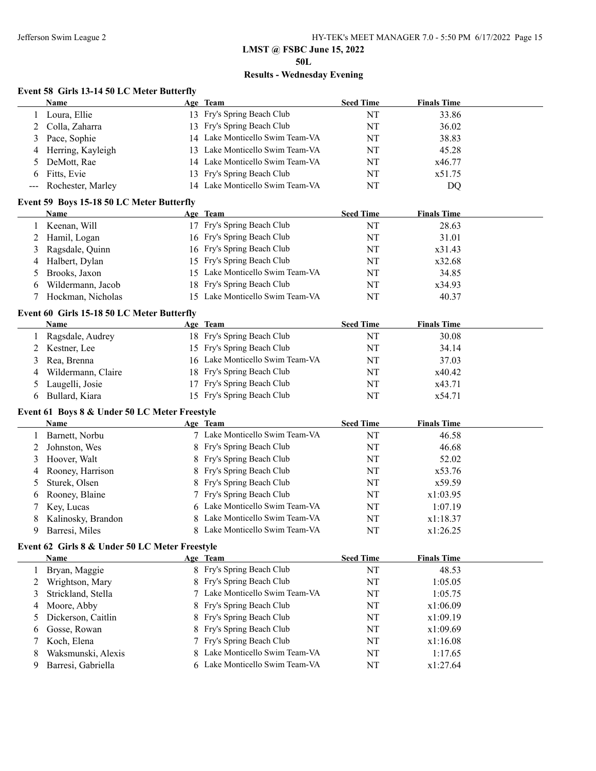**50L**

### **Results - Wednesday Evening**

### **Event 58 Girls 13-14 50 LC Meter Butterfly**

|                                             | Name                                      |     | Age Team                        | <b>Seed Time</b> | <b>Finals Time</b> |  |  |  |  |
|---------------------------------------------|-------------------------------------------|-----|---------------------------------|------------------|--------------------|--|--|--|--|
|                                             | Loura, Ellie                              |     | 13 Fry's Spring Beach Club      | NT               | 33.86              |  |  |  |  |
|                                             | Colla, Zaharra                            |     | 13 Fry's Spring Beach Club      | NT               | 36.02              |  |  |  |  |
| 3                                           | Pace, Sophie                              |     | 14 Lake Monticello Swim Team-VA | NT               | 38.83              |  |  |  |  |
|                                             | Herring, Kayleigh                         | 13. | Lake Monticello Swim Team-VA    | NT               | 45.28              |  |  |  |  |
| 5.                                          | DeMott, Rae                               |     | 14 Lake Monticello Swim Team-VA | NT               | x46.77             |  |  |  |  |
| 6                                           | Fitts, Evie                               |     | 13 Fry's Spring Beach Club      | NT               | x51.75             |  |  |  |  |
| $\scriptstyle \cdots$ $\scriptstyle \cdots$ | Rochester, Marley                         | 14  | Lake Monticello Swim Team-VA    | NT               | DQ                 |  |  |  |  |
|                                             | Event 59 Boys 15-18 50 LC Meter Butterfly |     |                                 |                  |                    |  |  |  |  |
|                                             |                                           |     |                                 |                  |                    |  |  |  |  |
|                                             | Name                                      |     | Age Team                        | <b>Seed Time</b> | <b>Finals Time</b> |  |  |  |  |
|                                             | Keenan, Will                              | 17  | Fry's Spring Beach Club         | NT               | 28.63              |  |  |  |  |
|                                             | Hamil, Logan                              |     | 16 Fry's Spring Beach Club      | NT               | 31.01              |  |  |  |  |
| 3                                           | Ragsdale, Quinn                           |     | 16 Fry's Spring Beach Club      | NT               | x31.43             |  |  |  |  |
| 4                                           | Halbert, Dylan                            |     | 15 Fry's Spring Beach Club      | NT               | x32.68             |  |  |  |  |
| 5                                           | Brooks, Jaxon                             | 15. | Lake Monticello Swim Team-VA    | NT               | 34.85              |  |  |  |  |
| 6                                           | Wildermann, Jacob                         |     | 18 Fry's Spring Beach Club      | NT               | x34.93             |  |  |  |  |

### **Event 60 Girls 15-18 50 LC Meter Butterfly**

| Name                 | Age Team                        | <b>Seed Time</b> | <b>Finals Time</b> |
|----------------------|---------------------------------|------------------|--------------------|
| Ragsdale, Audrey     | 18 Fry's Spring Beach Club      | NT               | 30.08              |
| 2 Kestner, Lee       | 15 Fry's Spring Beach Club      | NT               | 34.14              |
| 3 Rea, Brenna        | 16 Lake Monticello Swim Team-VA | NT               | 37.03              |
| 4 Wildermann, Claire | 18 Fry's Spring Beach Club      | <b>NT</b>        | x40.42             |
| 5 Laugelli, Josie    | 17 Fry's Spring Beach Club      | NT               | x43.71             |
| Bullard, Kiara       | 15 Fry's Spring Beach Club      | <b>NT</b>        | x54.71             |

### **Event 61 Boys 8 & Under 50 LC Meter Freestyle**

| <b>Name</b>          | Age Team                       | <b>Seed Time</b> | <b>Finals Time</b> |  |
|----------------------|--------------------------------|------------------|--------------------|--|
| Barnett, Norbu       | 7 Lake Monticello Swim Team-VA | NT               | 46.58              |  |
| 2 Johnston, Wes      | 8 Fry's Spring Beach Club      | NT               | 46.68              |  |
| 3 Hoover, Walt       | 8 Fry's Spring Beach Club      | NT               | 52.02              |  |
| 4 Rooney, Harrison   | 8 Fry's Spring Beach Club      | NT               | x53.76             |  |
| 5 Sturek, Olsen      | 8 Fry's Spring Beach Club      | NT               | x59.59             |  |
| 6 Rooney, Blaine     | 7 Fry's Spring Beach Club      | NT               | x1:03.95           |  |
| 7 Key, Lucas         | 6 Lake Monticello Swim Team-VA | NT               | 1:07.19            |  |
| 8 Kalinosky, Brandon | 8 Lake Monticello Swim Team-VA | NT               | x1:18.37           |  |
| Barresi, Miles       | Lake Monticello Swim Team-VA   | NT               | x1:26.25           |  |

### **Event 62 Girls 8 & Under 50 LC Meter Freestyle**

 $\overline{a}$ 

| Name                 | Age Team                       | <b>Seed Time</b> | <b>Finals Time</b> |  |
|----------------------|--------------------------------|------------------|--------------------|--|
| Bryan, Maggie        | 8 Fry's Spring Beach Club      | NT               | 48.53              |  |
| Wrightson, Mary      | 8 Fry's Spring Beach Club      | NT               | 1:05.05            |  |
| 3 Strickland, Stella | 7 Lake Monticello Swim Team-VA | NT               | 1:05.75            |  |
| 4 Moore, Abby        | 8 Fry's Spring Beach Club      | NT               | x1:06.09           |  |
| 5 Dickerson, Caitlin | 8 Fry's Spring Beach Club      | NT               | x1:09.19           |  |
| 6 Gosse, Rowan       | 8 Fry's Spring Beach Club      | NT               | x1:09.69           |  |
| 7 Koch, Elena        | 7 Fry's Spring Beach Club      | NT               | x1:16.08           |  |
| Waksmunski, Alexis   | 8 Lake Monticello Swim Team-VA | NT               | 1:17.65            |  |
| Barresi, Gabriella   | 6 Lake Monticello Swim Team-VA | NT               | x1:27.64           |  |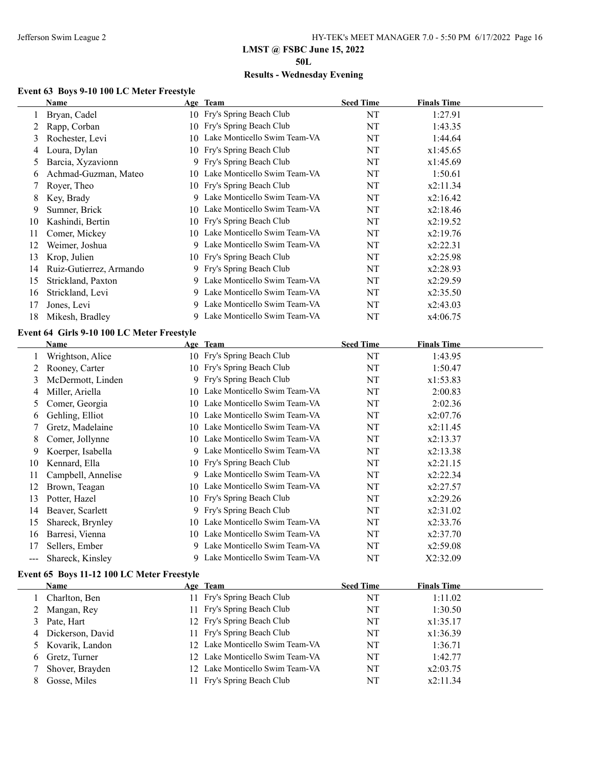**50L**

# **Results - Wednesday Evening**

# **Event 63 Boys 9-10 100 LC Meter Freestyle**

|                                            | Name                                       |   | Age Team                        | <b>Seed Time</b> | <b>Finals Time</b> |  |
|--------------------------------------------|--------------------------------------------|---|---------------------------------|------------------|--------------------|--|
| 1                                          | Bryan, Cadel                               |   | 10 Fry's Spring Beach Club      | NT               | 1:27.91            |  |
| 2                                          | Rapp, Corban                               |   | 10 Fry's Spring Beach Club      | NT               | 1:43.35            |  |
| 3                                          | Rochester, Levi                            |   | 10 Lake Monticello Swim Team-VA | NT               | 1:44.64            |  |
| 4                                          | Loura, Dylan                               |   | 10 Fry's Spring Beach Club      | NT               | x1:45.65           |  |
| 5                                          | Barcia, Xyzavionn                          | 9 | Fry's Spring Beach Club         | NT               | x1:45.69           |  |
| 6                                          | Achmad-Guzman, Mateo                       |   | 10 Lake Monticello Swim Team-VA | NT               | 1:50.61            |  |
| 7                                          | Royer, Theo                                |   | 10 Fry's Spring Beach Club      | NT               | x2:11.34           |  |
| 8                                          | Key, Brady                                 |   | 9 Lake Monticello Swim Team-VA  | NT               | x2:16.42           |  |
| 9                                          | Sumner, Brick                              |   | 10 Lake Monticello Swim Team-VA | NT               | x2:18.46           |  |
| 10                                         | Kashindi, Bertin                           |   | 10 Fry's Spring Beach Club      | NT               | x2:19.52           |  |
| 11                                         | Comer, Mickey                              |   | 10 Lake Monticello Swim Team-VA | NT               | x2:19.76           |  |
| 12                                         | Weimer, Joshua                             |   | 9 Lake Monticello Swim Team-VA  | NT               | x2:22.31           |  |
| 13                                         | Krop, Julien                               |   | 10 Fry's Spring Beach Club      | NT               | x2:25.98           |  |
| 14                                         | Ruiz-Gutierrez, Armando                    |   | 9 Fry's Spring Beach Club       | NT               | x2:28.93           |  |
| 15                                         | Strickland, Paxton                         |   | 9 Lake Monticello Swim Team-VA  | NT               | x2:29.59           |  |
| 16                                         | Strickland, Levi                           |   | 9 Lake Monticello Swim Team-VA  | NT               | x2:35.50           |  |
| 17                                         | Jones, Levi                                |   | 9 Lake Monticello Swim Team-VA  | NT               | x2:43.03           |  |
| 18                                         | Mikesh, Bradley                            |   | 9 Lake Monticello Swim Team-VA  | NT               | x4:06.75           |  |
|                                            | Event 64 Girls 9-10 100 LC Meter Freestyle |   |                                 |                  |                    |  |
|                                            | Name                                       |   | Age Team                        | <b>Seed Time</b> | <b>Finals Time</b> |  |
| 1                                          | Wrightson, Alice                           |   | 10 Fry's Spring Beach Club      | NT               | 1:43.95            |  |
| 2                                          | Rooney, Carter                             |   | 10 Fry's Spring Beach Club      | NT               | 1:50.47            |  |
| 3                                          | McDermott, Linden                          |   | 9 Fry's Spring Beach Club       | NT               | x1:53.83           |  |
| 4                                          | Miller, Ariella                            |   | 10 Lake Monticello Swim Team-VA | NT               | 2:00.83            |  |
| 5                                          | Comer, Georgia                             |   | 10 Lake Monticello Swim Team-VA | NT               | 2:02.36            |  |
| 6                                          | Gehling, Elliot                            |   | 10 Lake Monticello Swim Team-VA | NT               | x2:07.76           |  |
| 7                                          | Gretz, Madelaine                           |   | 10 Lake Monticello Swim Team-VA | NT               | x2:11.45           |  |
| 8                                          | Comer, Jollynne                            |   | 10 Lake Monticello Swim Team-VA | NT               | x2:13.37           |  |
| 9                                          | Koerper, Isabella                          |   | 9 Lake Monticello Swim Team-VA  | NT               | x2:13.38           |  |
| 10                                         | Kennard, Ella                              |   | 10 Fry's Spring Beach Club      | NT               | x2:21.15           |  |
| 11                                         | Campbell, Annelise                         |   | 9 Lake Monticello Swim Team-VA  | NT               | x2:22.34           |  |
| 12                                         | Brown, Teagan                              |   | 10 Lake Monticello Swim Team-VA | NT               | x2:27.57           |  |
| 13                                         | Potter, Hazel                              |   | 10 Fry's Spring Beach Club      | NT               | x2:29.26           |  |
| 14                                         | Beaver, Scarlett                           |   | 9 Fry's Spring Beach Club       | NT               | x2:31.02           |  |
| 15                                         | Shareck, Brynley                           |   | 10 Lake Monticello Swim Team-VA | NT               | x2:33.76           |  |
| 16                                         | Barresi, Vienna                            |   | 10 Lake Monticello Swim Team-VA | NT               | x2:37.70           |  |
| 17                                         | Sellers, Ember                             |   | 9 Lake Monticello Swim Team-VA  | NT               | x2:59.08           |  |
| $\qquad \qquad -$                          | Shareck, Kinsley                           |   | 9 Lake Monticello Swim Team-VA  | NT               | X2:32.09           |  |
|                                            |                                            |   |                                 |                  |                    |  |
| Event 65 Boys 11-12 100 LC Meter Freestyle |                                            |   |                                 |                  |                    |  |
|                                            | Name                                       |   | Age Team                        | <b>Seed Time</b> | <b>Finals Time</b> |  |
| 1                                          | Charlton, Ben                              |   | 11 Fry's Spring Beach Club      | NT               | 1:11.02            |  |
| 2                                          | Mangan, Rey                                |   | 11 Fry's Spring Beach Club      | NT               | 1:30.50            |  |
| 3                                          | Pate, Hart                                 |   | 12 Fry's Spring Beach Club      | NT               | x1:35.17           |  |
| 4                                          | Dickerson, David                           |   | 11 Fry's Spring Beach Club      | NT               | x1:36.39           |  |
| 5                                          | Kovarik, Landon                            |   | 12 Lake Monticello Swim Team-VA | NT               | 1:36.71            |  |
| 6                                          | Gretz, Turner                              |   | 12 Lake Monticello Swim Team-VA | NT               | 1:42.77            |  |
| 7                                          | Shover, Brayden                            |   | 12 Lake Monticello Swim Team-VA | NT               | x2:03.75           |  |
| 8                                          | Gosse, Miles                               |   | 11 Fry's Spring Beach Club      | NT               | x2:11.34           |  |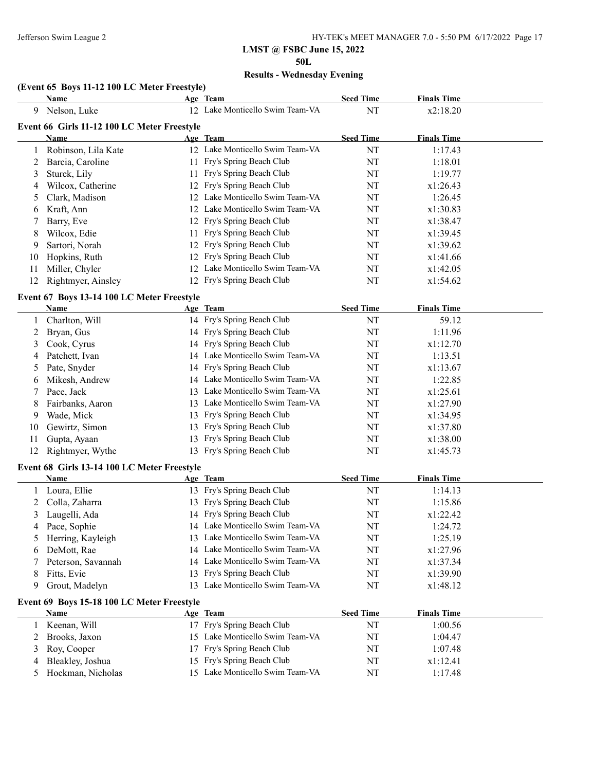**50L**

# **Results - Wednesday Evening**

### **(Event 65 Boys 11-12 100 LC Meter Freestyle)**

|    | <b>Name</b>                                 |    | Age Team                        | <b>Seed Time</b> | <b>Finals Time</b> |  |
|----|---------------------------------------------|----|---------------------------------|------------------|--------------------|--|
| 9  | Nelson, Luke                                |    | 12 Lake Monticello Swim Team-VA | NT               | x2:18.20           |  |
|    | Event 66 Girls 11-12 100 LC Meter Freestyle |    |                                 |                  |                    |  |
|    | <b>Name</b>                                 |    | Age Team                        | <b>Seed Time</b> | <b>Finals Time</b> |  |
| 1  | Robinson, Lila Kate                         |    | 12 Lake Monticello Swim Team-VA | NT               | 1:17.43            |  |
| 2  | Barcia, Caroline                            |    | 11 Fry's Spring Beach Club      | NT               | 1:18.01            |  |
| 3  | Sturek, Lily                                |    | 11 Fry's Spring Beach Club      | NT               | 1:19.77            |  |
| 4  | Wilcox, Catherine                           |    | 12 Fry's Spring Beach Club      | NT               | x1:26.43           |  |
| 5  | Clark, Madison                              |    | 12 Lake Monticello Swim Team-VA | NT               | 1:26.45            |  |
| 6  | Kraft, Ann                                  |    | 12 Lake Monticello Swim Team-VA | NT               | x1:30.83           |  |
| 7  | Barry, Eve                                  |    | 12 Fry's Spring Beach Club      | NT               | x1:38.47           |  |
| 8  | Wilcox, Edie                                |    | 11 Fry's Spring Beach Club      | NT               | x1:39.45           |  |
| 9  | Sartori, Norah                              |    | 12 Fry's Spring Beach Club      | NT               | x1:39.62           |  |
| 10 | Hopkins, Ruth                               |    | 12 Fry's Spring Beach Club      | NT               | x1:41.66           |  |
| 11 | Miller, Chyler                              |    | 12 Lake Monticello Swim Team-VA | NT               | x1:42.05           |  |
| 12 | Rightmyer, Ainsley                          |    | 12 Fry's Spring Beach Club      | NT               | x1:54.62           |  |
|    | Event 67 Boys 13-14 100 LC Meter Freestyle  |    |                                 |                  |                    |  |
|    | <b>Name</b>                                 |    | Age Team                        | <b>Seed Time</b> | <b>Finals Time</b> |  |
| 1  | Charlton, Will                              |    | 14 Fry's Spring Beach Club      | NT               | 59.12              |  |
| 2  | Bryan, Gus                                  |    | 14 Fry's Spring Beach Club      | NT               | 1:11.96            |  |
| 3  | Cook, Cyrus                                 |    | 14 Fry's Spring Beach Club      | NT               | x1:12.70           |  |
| 4  | Patchett, Ivan                              |    | 14 Lake Monticello Swim Team-VA | NT               | 1:13.51            |  |
| 5  | Pate, Snyder                                |    | 14 Fry's Spring Beach Club      | NT               | x1:13.67           |  |
| 6  | Mikesh, Andrew                              |    | 14 Lake Monticello Swim Team-VA | NT               | 1:22.85            |  |
| 7  | Pace, Jack                                  |    | 13 Lake Monticello Swim Team-VA | NT               | x1:25.61           |  |
| 8  | Fairbanks, Aaron                            |    | 13 Lake Monticello Swim Team-VA | NT               | x1:27.90           |  |
| 9  | Wade, Mick                                  | 13 | Fry's Spring Beach Club         | NT               | x1:34.95           |  |
| 10 | Gewirtz, Simon                              | 13 | Fry's Spring Beach Club         | NT               | x1:37.80           |  |
| 11 | Gupta, Ayaan                                | 13 | Fry's Spring Beach Club         | NT               | x1:38.00           |  |
| 12 | Rightmyer, Wythe                            |    | 13 Fry's Spring Beach Club      | NT               | x1:45.73           |  |
|    | Event 68 Girls 13-14 100 LC Meter Freestyle |    |                                 |                  |                    |  |
|    | Name                                        |    | Age Team                        | <b>Seed Time</b> | <b>Finals Time</b> |  |
| 1  | Loura, Ellie                                |    | 13 Fry's Spring Beach Club      | NT               | 1:14.13            |  |
| 2  | Colla, Zaharra                              |    | 13 Fry's Spring Beach Club      | NT               | 1:15.86            |  |
| 3  | Laugelli, Ada                               |    | 14 Fry's Spring Beach Club      | NT               | x1:22.42           |  |
| 4  | Pace, Sophie                                |    | 14 Lake Monticello Swim Team-VA | NT               | 1:24.72            |  |
| 5  | Herring, Kayleigh                           |    | 13 Lake Monticello Swim Team-VA | NT               | 1:25.19            |  |
| 6  | DeMott, Rae                                 | 14 | Lake Monticello Swim Team-VA    | NT               | x1:27.96           |  |
| 7  | Peterson, Savannah                          |    | 14 Lake Monticello Swim Team-VA | NT               | x1:37.34           |  |
| 8  | Fitts, Evie                                 | 13 | Fry's Spring Beach Club         | NT               | x1:39.90           |  |
| 9  | Grout, Madelyn                              |    | 13 Lake Monticello Swim Team-VA | NT               | x1:48.12           |  |
|    | Event 69 Boys 15-18 100 LC Meter Freestyle  |    |                                 |                  |                    |  |
|    | <b>Name</b>                                 |    | Age Team                        | <b>Seed Time</b> | <b>Finals Time</b> |  |
| 1  | Keenan, Will                                |    | 17 Fry's Spring Beach Club      | NT               | 1:00.56            |  |
| 2  | Brooks, Jaxon                               |    | 15 Lake Monticello Swim Team-VA | NT               | 1:04.47            |  |
| 3  | Roy, Cooper                                 |    | 17 Fry's Spring Beach Club      | NT               | 1:07.48            |  |
| 4  | Bleakley, Joshua                            |    | 15 Fry's Spring Beach Club      | NT               | x1:12.41           |  |

5 Hockman, Nicholas 15 Lake Monticello Swim Team-VA NT 1:17.48